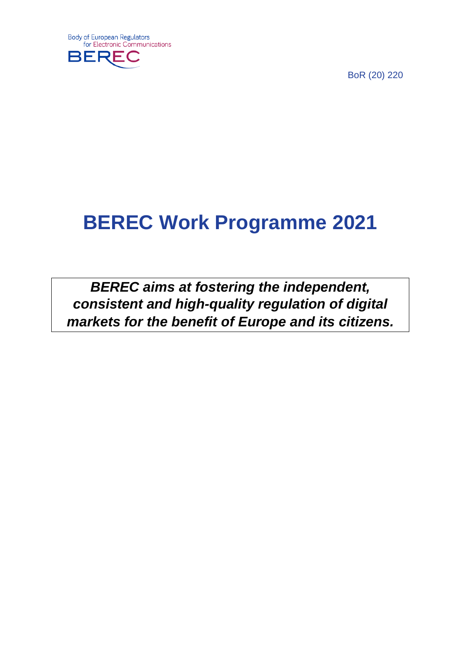

BoR (20) 220

# **BEREC Work Programme 2021**

*BEREC aims at fostering the independent, consistent and high-quality regulation of digital markets for the benefit of Europe and its citizens.*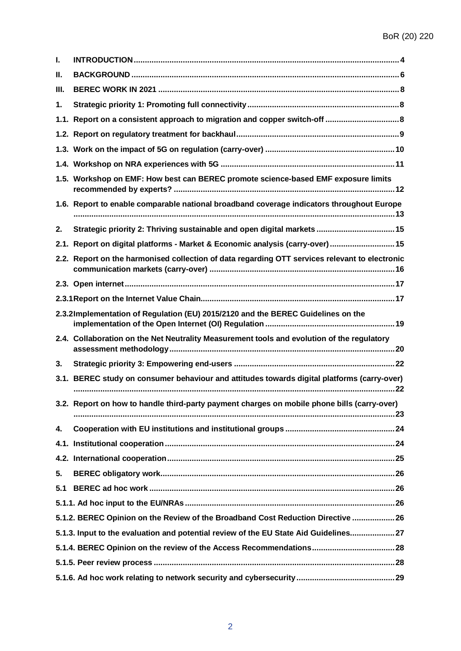| ı.                                                                                    |                                                                                                |  |  |
|---------------------------------------------------------------------------------------|------------------------------------------------------------------------------------------------|--|--|
| н.                                                                                    |                                                                                                |  |  |
| Ш.                                                                                    |                                                                                                |  |  |
| 1.                                                                                    |                                                                                                |  |  |
|                                                                                       | 1.1. Report on a consistent approach to migration and copper switch-off  8                     |  |  |
|                                                                                       |                                                                                                |  |  |
|                                                                                       |                                                                                                |  |  |
|                                                                                       |                                                                                                |  |  |
|                                                                                       | 1.5. Workshop on EMF: How best can BEREC promote science-based EMF exposure limits             |  |  |
|                                                                                       | 1.6. Report to enable comparable national broadband coverage indicators throughout Europe      |  |  |
| 2.                                                                                    | Strategic priority 2: Thriving sustainable and open digital markets  15                        |  |  |
|                                                                                       | 2.1. Report on digital platforms - Market & Economic analysis (carry-over) 15                  |  |  |
|                                                                                       | 2.2. Report on the harmonised collection of data regarding OTT services relevant to electronic |  |  |
|                                                                                       |                                                                                                |  |  |
|                                                                                       |                                                                                                |  |  |
|                                                                                       | 2.3.2Implementation of Regulation (EU) 2015/2120 and the BEREC Guidelines on the               |  |  |
|                                                                                       | 2.4. Collaboration on the Net Neutrality Measurement tools and evolution of the regulatory     |  |  |
| 3.                                                                                    |                                                                                                |  |  |
|                                                                                       | 3.1. BEREC study on consumer behaviour and attitudes towards digital platforms (carry-over)    |  |  |
|                                                                                       | 3.2. Report on how to handle third-party payment charges on mobile phone bills (carry-over)    |  |  |
| 4.                                                                                    |                                                                                                |  |  |
|                                                                                       |                                                                                                |  |  |
|                                                                                       |                                                                                                |  |  |
| 5.                                                                                    |                                                                                                |  |  |
| 5.1                                                                                   |                                                                                                |  |  |
|                                                                                       |                                                                                                |  |  |
| 5.1.2. BEREC Opinion on the Review of the Broadband Cost Reduction Directive  26      |                                                                                                |  |  |
| 5.1.3. Input to the evaluation and potential review of the EU State Aid Guidelines 27 |                                                                                                |  |  |
|                                                                                       |                                                                                                |  |  |
|                                                                                       |                                                                                                |  |  |
|                                                                                       |                                                                                                |  |  |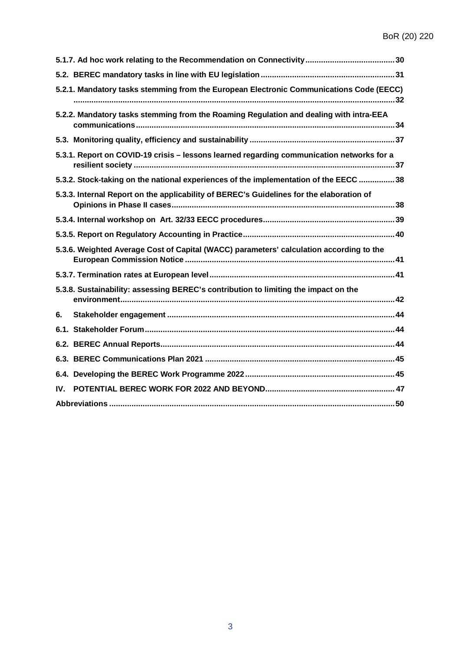|                                                                                     | 5.2.1. Mandatory tasks stemming from the European Electronic Communications Code (EECC)   |  |
|-------------------------------------------------------------------------------------|-------------------------------------------------------------------------------------------|--|
|                                                                                     | 5.2.2. Mandatory tasks stemming from the Roaming Regulation and dealing with intra-EEA    |  |
|                                                                                     |                                                                                           |  |
|                                                                                     | 5.3.1. Report on COVID-19 crisis - lessons learned regarding communication networks for a |  |
|                                                                                     | 5.3.2. Stock-taking on the national experiences of the implementation of the EECC  38     |  |
|                                                                                     | 5.3.3. Internal Report on the applicability of BEREC's Guidelines for the elaboration of  |  |
|                                                                                     |                                                                                           |  |
|                                                                                     |                                                                                           |  |
|                                                                                     | 5.3.6. Weighted Average Cost of Capital (WACC) parameters' calculation according to the   |  |
|                                                                                     |                                                                                           |  |
| 5.3.8. Sustainability: assessing BEREC's contribution to limiting the impact on the |                                                                                           |  |
| 6.                                                                                  |                                                                                           |  |
|                                                                                     |                                                                                           |  |
|                                                                                     |                                                                                           |  |
|                                                                                     |                                                                                           |  |
|                                                                                     |                                                                                           |  |
| IV.                                                                                 |                                                                                           |  |
|                                                                                     |                                                                                           |  |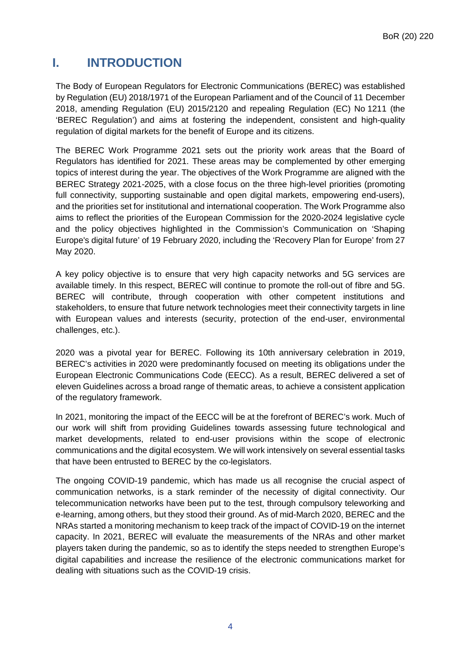# <span id="page-3-0"></span>**I. INTRODUCTION**

The Body of European Regulators for Electronic Communications (BEREC) was established by Regulation (EU) 2018/1971 of the European Parliament and of the Council of 11 December 2018, amending Regulation (EU) 2015/2120 and repealing Regulation (EC) No 1211 (the 'BEREC Regulation') and aims at fostering the independent, consistent and high-quality regulation of digital markets for the benefit of Europe and its citizens.

The BEREC Work Programme 2021 sets out the priority work areas that the Board of Regulators has identified for 2021. These areas may be complemented by other emerging topics of interest during the year. The objectives of the Work Programme are aligned with the BEREC Strategy 2021-2025, with a close focus on the three high-level priorities (promoting full connectivity, supporting sustainable and open digital markets, empowering end-users), and the priorities set for institutional and international cooperation. The Work Programme also aims to reflect the priorities of the European Commission for the 2020-2024 legislative cycle and the policy objectives highlighted in the Commission's Communication on 'Shaping Europe's digital future' of 19 February 2020, including the 'Recovery Plan for Europe' from 27 May 2020.

A key policy objective is to ensure that very high capacity networks and 5G services are available timely. In this respect, BEREC will continue to promote the roll-out of fibre and 5G. BEREC will contribute, through cooperation with other competent institutions and stakeholders, to ensure that future network technologies meet their connectivity targets in line with European values and interests (security, protection of the end-user, environmental challenges, etc.).

2020 was a pivotal year for BEREC. Following its 10th anniversary celebration in 2019, BEREC's activities in 2020 were predominantly focused on meeting its obligations under the European Electronic Communications Code (EECC). As a result, BEREC delivered a set of eleven Guidelines across a broad range of thematic areas, to achieve a consistent application of the regulatory framework.

In 2021, monitoring the impact of the EECC will be at the forefront of BEREC's work. Much of our work will shift from providing Guidelines towards assessing future technological and market developments, related to end-user provisions within the scope of electronic communications and the digital ecosystem. We will work intensively on several essential tasks that have been entrusted to BEREC by the co-legislators.

The ongoing COVID-19 pandemic, which has made us all recognise the crucial aspect of communication networks, is a stark reminder of the necessity of digital connectivity. Our telecommunication networks have been put to the test, through compulsory teleworking and e-learning, among others, but they stood their ground. As of mid-March 2020, BEREC and the NRAs started a monitoring mechanism to keep track of the impact of COVID-19 on the internet capacity. In 2021, BEREC will evaluate the measurements of the NRAs and other market players taken during the pandemic, so as to identify the steps needed to strengthen Europe's digital capabilities and increase the resilience of the electronic communications market for dealing with situations such as the COVID-19 crisis.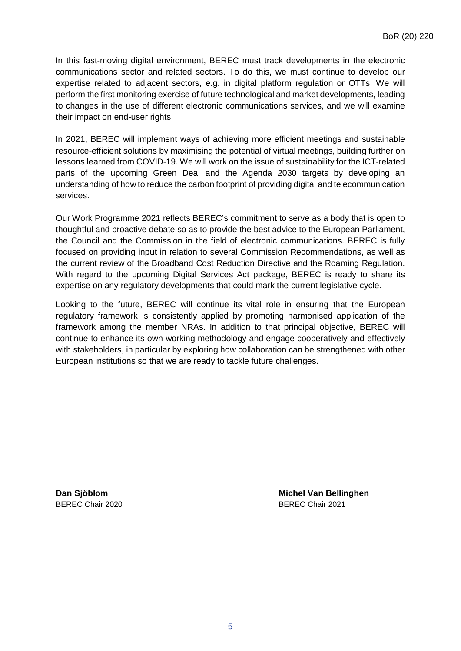In this fast-moving digital environment, BEREC must track developments in the electronic communications sector and related sectors. To do this, we must continue to develop our expertise related to adjacent sectors, e.g. in digital platform regulation or OTTs. We will perform the first monitoring exercise of future technological and market developments, leading to changes in the use of different electronic communications services, and we will examine their impact on end-user rights.

In 2021, BEREC will implement ways of achieving more efficient meetings and sustainable resource-efficient solutions by maximising the potential of virtual meetings, building further on lessons learned from COVID-19. We will work on the issue of sustainability for the ICT-related parts of the upcoming Green Deal and the Agenda 2030 targets by developing an understanding of how to reduce the carbon footprint of providing digital and telecommunication services.

Our Work Programme 2021 reflects BEREC's commitment to serve as a body that is open to thoughtful and proactive debate so as to provide the best advice to the European Parliament, the Council and the Commission in the field of electronic communications. BEREC is fully focused on providing input in relation to several Commission Recommendations, as well as the current review of the Broadband Cost Reduction Directive and the Roaming Regulation. With regard to the upcoming Digital Services Act package, BEREC is ready to share its expertise on any regulatory developments that could mark the current legislative cycle.

Looking to the future, BEREC will continue its vital role in ensuring that the European regulatory framework is consistently applied by promoting harmonised application of the framework among the member NRAs. In addition to that principal objective, BEREC will continue to enhance its own working methodology and engage cooperatively and effectively with stakeholders, in particular by exploring how collaboration can be strengthened with other European institutions so that we are ready to tackle future challenges.

**Dan Sjöblom Michel Van Bellinghen** BEREC Chair 2020 BEREC Chair 2021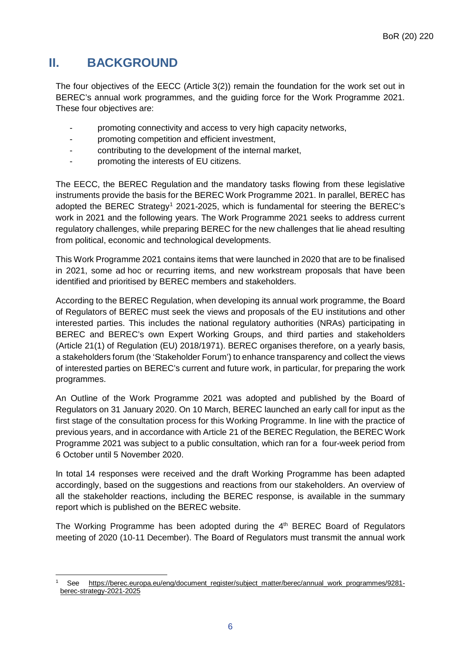# <span id="page-5-0"></span>**II. BACKGROUND**

The four objectives of the EECC (Article 3(2)) remain the foundation for the work set out in BEREC's annual work programmes, and the guiding force for the Work Programme 2021. These four objectives are:

- promoting connectivity and access to very high capacity networks,
- promoting competition and efficient investment,
- contributing to the development of the internal market,
- promoting the interests of EU citizens.

The EECC, the BEREC Regulation and the mandatory tasks flowing from these legislative instruments provide the basis for the BEREC Work Programme 2021. In parallel, BEREC has adopted the BEREC Strategy<sup>1</sup> 2021-2025, which is fundamental for steering the BEREC's work in 2021 and the following years. The Work Programme 2021 seeks to address current regulatory challenges, while preparing BEREC for the new challenges that lie ahead resulting from political, economic and technological developments.

This Work Programme 2021 contains items that were launched in 2020 that are to be finalised in 2021, some ad hoc or recurring items, and new workstream proposals that have been identified and prioritised by BEREC members and stakeholders.

According to the BEREC Regulation, when developing its annual work programme, the Board of Regulators of BEREC must seek the views and proposals of the EU institutions and other interested parties. This includes the national regulatory authorities (NRAs) participating in BEREC and BEREC's own Expert Working Groups, and third parties and stakeholders (Article 21(1) of Regulation (EU) 2018/1971). BEREC organises therefore, on a yearly basis, a stakeholders forum (the 'Stakeholder Forum') to enhance transparency and collect the views of interested parties on BEREC's current and future work, in particular, for preparing the work programmes.

An Outline of the Work Programme 2021 was adopted and published by the Board of Regulators on 31 January 2020. On 10 March, BEREC launched an early call for input as the first stage of the consultation process for this Working Programme. In line with the practice of previous years, and in accordance with Article 21 of the BEREC Regulation, the BEREC Work Programme 2021 was subject to a public consultation, which ran for a four-week period from 6 October until 5 November 2020.

In total 14 responses were received and the draft Working Programme has been adapted accordingly, based on the suggestions and reactions from our stakeholders. An overview of all the stakeholder reactions, including the BEREC response, is available in the summary report which is published on the BEREC website.

The Working Programme has been adopted during the  $4<sup>th</sup>$  BEREC Board of Regulators meeting of 2020 (10-11 December). The Board of Regulators must transmit the annual work

<span id="page-5-1"></span> $\overline{a}$ <sup>1</sup> See [https://berec.europa.eu/eng/document\\_register/subject\\_matter/berec/annual\\_work\\_programmes/9281](https://berec.europa.eu/eng/document_register/subject_matter/berec/annual_work_programmes/9281-berec-strategy-2021-2025) [berec-strategy-2021-2025](https://berec.europa.eu/eng/document_register/subject_matter/berec/annual_work_programmes/9281-berec-strategy-2021-2025)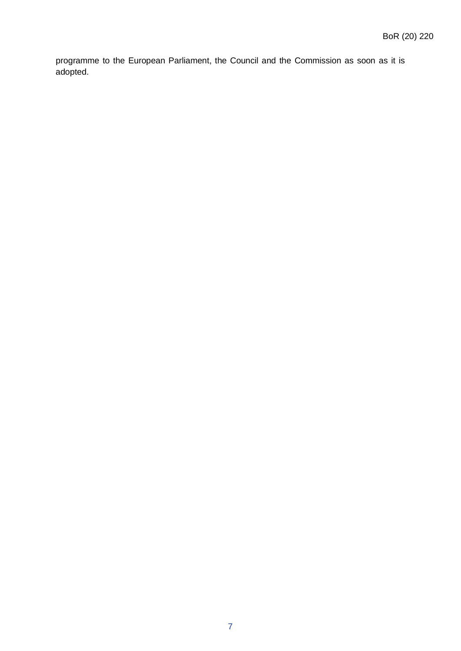programme to the European Parliament, the Council and the Commission as soon as it is adopted.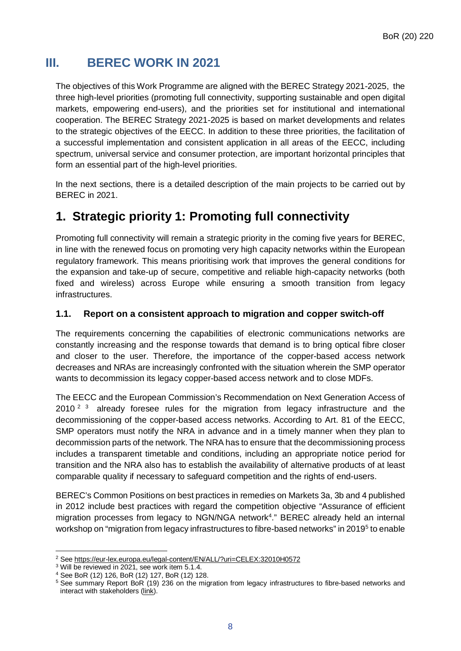# <span id="page-7-0"></span>**III. BEREC WORK IN 2021**

The objectives of this Work Programme are aligned with the BEREC Strategy 2021-2025, the three high-level priorities (promoting full connectivity, supporting sustainable and open digital markets, empowering end-users), and the priorities set for institutional and international cooperation. The BEREC Strategy 2021-2025 is based on market developments and relates to the strategic objectives of the EECC. In addition to these three priorities, the facilitation of a successful implementation and consistent application in all areas of the EECC, including spectrum, universal service and consumer protection, are important horizontal principles that form an essential part of the high-level priorities.

In the next sections, there is a detailed description of the main projects to be carried out by BEREC in 2021.

# <span id="page-7-1"></span>**1. Strategic priority 1: Promoting full connectivity**

Promoting full connectivity will remain a strategic priority in the coming five years for BEREC, in line with the renewed focus on promoting very high capacity networks within the European regulatory framework. This means prioritising work that improves the general conditions for the expansion and take-up of secure, competitive and reliable high-capacity networks (both fixed and wireless) across Europe while ensuring a smooth transition from legacy infrastructures.

# <span id="page-7-2"></span>**1.1. Report on a consistent approach to migration and copper switch-off**

The requirements concerning the capabilities of electronic communications networks are constantly increasing and the response towards that demand is to bring optical fibre closer and closer to the user. Therefore, the importance of the copper-based access network decreases and NRAs are increasingly confronted with the situation wherein the SMP operator wants to decommission its legacy copper-based access network and to close MDFs.

The EECC and the European Commission's Recommendation on Next Generation Access of [2](#page-7-3)010<sup>2</sup> <sup>[3](#page-7-4)</sup> already foresee rules for the migration from legacy infrastructure and the decommissioning of the copper-based access networks. According to Art. 81 of the EECC, SMP operators must notify the NRA in advance and in a timely manner when they plan to decommission parts of the network. The NRA has to ensure that the decommissioning process includes a transparent timetable and conditions, including an appropriate notice period for transition and the NRA also has to establish the availability of alternative products of at least comparable quality if necessary to safeguard competition and the rights of end-users.

BEREC's Common Positions on best practices in remedies on Markets 3a, 3b and 4 published in 2012 include best practices with regard the competition objective "Assurance of efficient migration processes from legacy to NGN/NGA network<sup>[4](#page-7-5)</sup>." BEREC already held an internal workshop on "migration from legacy infrastructures to fibre-based networks" in 2019[5](#page-7-6) to enable

 $\overline{a}$ <sup>2</sup> See <https://eur-lex.europa.eu/legal-content/EN/ALL/?uri=CELEX:32010H0572>

<span id="page-7-4"></span><span id="page-7-3"></span><sup>3</sup> Will be reviewed in 2021, see work item 5.1.4.

<span id="page-7-5"></span><sup>4</sup> See BoR (12) 126, BoR (12) 127, BoR (12) 128.

<span id="page-7-6"></span><sup>&</sup>lt;sup>5</sup> See summary Report BoR (19) 236 on the migration from legacy infrastructures to fibre-based networks and interact with stakeholders [\(link\)](https://berec.europa.eu/eng/document_register/subject_matter/berec/reports/8902-berec-summary-report-on-the-outcomes-of-the-internal-workshop-on-the-migration-from-legacy-infrastructures-to-fibre-based-networks).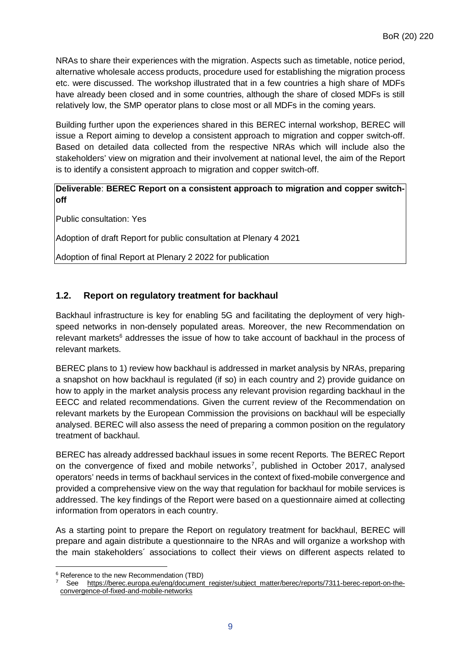NRAs to share their experiences with the migration. Aspects such as timetable, notice period, alternative wholesale access products, procedure used for establishing the migration process etc. were discussed. The workshop illustrated that in a few countries a high share of MDFs have already been closed and in some countries, although the share of closed MDFs is still relatively low, the SMP operator plans to close most or all MDFs in the coming years.

Building further upon the experiences shared in this BEREC internal workshop, BEREC will issue a Report aiming to develop a consistent approach to migration and copper switch-off. Based on detailed data collected from the respective NRAs which will include also the stakeholders' view on migration and their involvement at national level, the aim of the Report is to identify a consistent approach to migration and copper switch-off.

#### **Deliverable**: **BEREC Report on a consistent approach to migration and copper switchoff**

Public consultation: Yes

Adoption of draft Report for public consultation at Plenary 4 2021

Adoption of final Report at Plenary 2 2022 for publication

### <span id="page-8-0"></span>**1.2. Report on regulatory treatment for backhaul**

Backhaul infrastructure is key for enabling 5G and facilitating the deployment of very highspeed networks in non-densely populated areas. Moreover, the new Recommendation on relevant markets<sup>6</sup> addresses the issue of how to take account of backhaul in the process of relevant markets.

BEREC plans to 1) review how backhaul is addressed in market analysis by NRAs, preparing a snapshot on how backhaul is regulated (if so) in each country and 2) provide guidance on how to apply in the market analysis process any relevant provision regarding backhaul in the EECC and related recommendations. Given the current review of the Recommendation on relevant markets by the European Commission the provisions on backhaul will be especially analysed. BEREC will also assess the need of preparing a common position on the regulatory treatment of backhaul.

BEREC has already addressed backhaul issues in some recent Reports. The BEREC Report on the convergence of fixed and mobile networks<sup>[7](#page-8-2)</sup>, published in October 2017, analysed operators' needs in terms of backhaul services in the context of fixed-mobile convergence and provided a comprehensive view on the way that regulation for backhaul for mobile services is addressed. The key findings of the Report were based on a questionnaire aimed at collecting information from operators in each country.

As a starting point to prepare the Report on regulatory treatment for backhaul, BEREC will prepare and again distribute a questionnaire to the NRAs and will organize a workshop with the main stakeholders´ associations to collect their views on different aspects related to

 $\overline{a}$ 

<span id="page-8-2"></span><span id="page-8-1"></span><sup>6</sup> Reference to the new Recommendation (TBD)

See [https://berec.europa.eu/eng/document\\_register/subject\\_matter/berec/reports/7311-berec-report-on-the](https://berec.europa.eu/eng/document_register/subject_matter/berec/reports/7311-berec-report-on-the-convergence-of-fixed-and-mobile-networks)[convergence-of-fixed-and-mobile-networks](https://berec.europa.eu/eng/document_register/subject_matter/berec/reports/7311-berec-report-on-the-convergence-of-fixed-and-mobile-networks)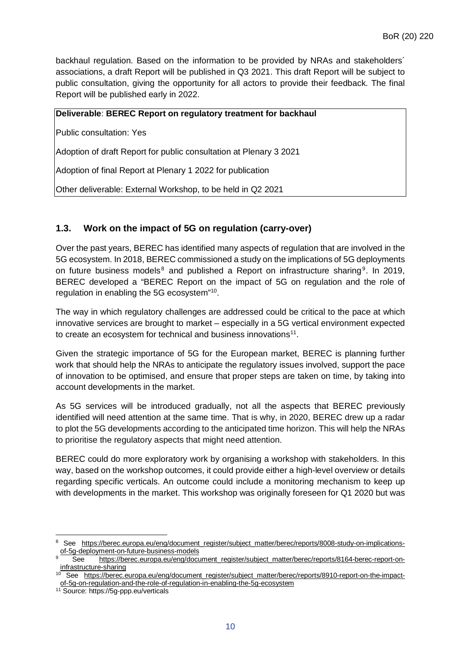backhaul regulation. Based on the information to be provided by NRAs and stakeholders´ associations, a draft Report will be published in Q3 2021. This draft Report will be subject to public consultation, giving the opportunity for all actors to provide their feedback. The final Report will be published early in 2022.

#### **Deliverable**: **BEREC Report on regulatory treatment for backhaul**

Public consultation: Yes

Adoption of draft Report for public consultation at Plenary 3 2021

Adoption of final Report at Plenary 1 2022 for publication

Other deliverable: External Workshop, to be held in Q2 2021

#### <span id="page-9-0"></span>**1.3. Work on the impact of 5G on regulation (carry-over)**

Over the past years, BEREC has identified many aspects of regulation that are involved in the 5G ecosystem. In 2018, BEREC commissioned a study on the implications of 5G deployments on future business models<sup>[8](#page-9-1)</sup> and published a Report on infrastructure sharing<sup>[9](#page-9-2)</sup>. In 2019, BEREC developed a "BEREC Report on the impact of 5G on regulation and the role of regulation in enabling the 5G ecosystem" [10](#page-9-3).

The way in which regulatory challenges are addressed could be critical to the pace at which innovative services are brought to market – especially in a 5G vertical environment expected to create an ecosystem for technical and business innovations<sup>11</sup>.

Given the strategic importance of 5G for the European market, BEREC is planning further work that should help the NRAs to anticipate the regulatory issues involved, support the pace of innovation to be optimised, and ensure that proper steps are taken on time, by taking into account developments in the market.

As 5G services will be introduced gradually, not all the aspects that BEREC previously identified will need attention at the same time. That is why, in 2020, BEREC drew up a radar to plot the 5G developments according to the anticipated time horizon. This will help the NRAs to prioritise the regulatory aspects that might need attention.

BEREC could do more exploratory work by organising a workshop with stakeholders. In this way, based on the workshop outcomes, it could provide either a high-level overview or details regarding specific verticals. An outcome could include a monitoring mechanism to keep up with developments in the market. This workshop was originally foreseen for Q1 2020 but was

<span id="page-9-1"></span> $\overline{a}$ 8 See [https://berec.europa.eu/eng/document\\_register/subject\\_matter/berec/reports/8008-study-on-implications](https://berec.europa.eu/eng/document_register/subject_matter/berec/reports/8008-study-on-implications-of-5g-deployment-on-future-business-models)[of-5g-deployment-on-future-business-models](https://berec.europa.eu/eng/document_register/subject_matter/berec/reports/8008-study-on-implications-of-5g-deployment-on-future-business-models)

<span id="page-9-2"></span>See [https://berec.europa.eu/eng/document\\_register/subject\\_matter/berec/reports/8164-berec-report-on](https://berec.europa.eu/eng/document_register/subject_matter/berec/reports/8164-berec-report-on-infrastructure-sharing)[infrastructure-sharing](https://berec.europa.eu/eng/document_register/subject_matter/berec/reports/8164-berec-report-on-infrastructure-sharing)

<span id="page-9-3"></span><sup>10</sup> See [https://berec.europa.eu/eng/document\\_register/subject\\_matter/berec/reports/8910-report-on-the-impact](https://berec.europa.eu/eng/document_register/subject_matter/berec/reports/8910-report-on-the-impact-of-5g-on-regulation-and-the-role-of-regulation-in-enabling-the-5g-ecosystem)[of-5g-on-regulation-and-the-role-of-regulation-in-enabling-the-5g-ecosystem](https://berec.europa.eu/eng/document_register/subject_matter/berec/reports/8910-report-on-the-impact-of-5g-on-regulation-and-the-role-of-regulation-in-enabling-the-5g-ecosystem)

<span id="page-9-4"></span><sup>11</sup> Source: https://5g-ppp.eu/verticals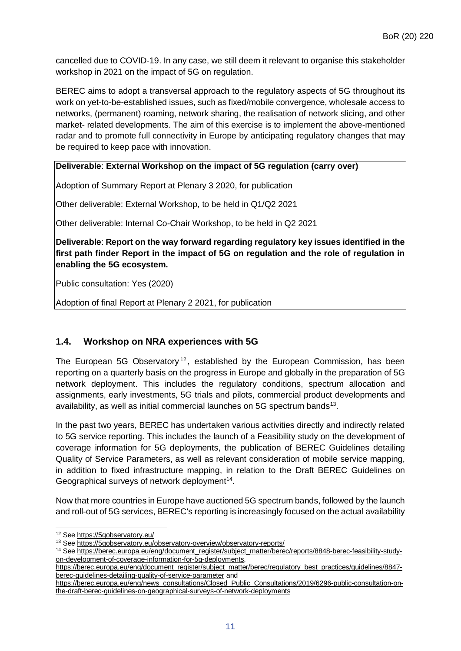cancelled due to COVID-19. In any case, we still deem it relevant to organise this stakeholder workshop in 2021 on the impact of 5G on regulation.

BEREC aims to adopt a transversal approach to the regulatory aspects of 5G throughout its work on yet-to-be-established issues, such as fixed/mobile convergence, wholesale access to networks, (permanent) roaming, network sharing, the realisation of network slicing, and other market- related developments. The aim of this exercise is to implement the above-mentioned radar and to promote full connectivity in Europe by anticipating regulatory changes that may be required to keep pace with innovation.

#### **Deliverable**: **External Workshop on the impact of 5G regulation (carry over)**

Adoption of Summary Report at Plenary 3 2020, for publication

Other deliverable: External Workshop, to be held in Q1/Q2 2021

Other deliverable: Internal Co-Chair Workshop, to be held in Q2 2021

**Deliverable**: **Report on the way forward regarding regulatory key issues identified in the first path finder Report in the impact of 5G on regulation and the role of regulation in enabling the 5G ecosystem.**

Public consultation: Yes (2020)

Adoption of final Report at Plenary 2 2021, for publication

#### <span id="page-10-0"></span>**1.4. Workshop on NRA experiences with 5G**

The European 5G Observatory<sup>[12](#page-10-1)</sup>, established by the European Commission, has been reporting on a quarterly basis on the progress in Europe and globally in the preparation of 5G network deployment. This includes the regulatory conditions, spectrum allocation and assignments, early investments, 5G trials and pilots, commercial product developments and availability, as well as initial commercial launches on 5G spectrum bands<sup>13</sup>.

In the past two years, BEREC has undertaken various activities directly and indirectly related to 5G service reporting. This includes the launch of a Feasibility study on the development of coverage information for 5G deployments, the publication of BEREC Guidelines detailing Quality of Service Parameters, as well as relevant consideration of mobile service mapping, in addition to fixed infrastructure mapping, in relation to the Draft BEREC Guidelines on Geographical surveys of network deployment<sup>[14](#page-10-3)</sup>.

Now that more countries in Europe have auctioned 5G spectrum bands, followed by the launch and roll-out of 5G services, BEREC's reporting is increasingly focused on the actual availability

<span id="page-10-1"></span> $\overline{a}$ 12 See https://5qobservatory.eu/

<span id="page-10-2"></span><sup>13</sup> See <https://5gobservatory.eu/observatory-overview/observatory-reports/>

<span id="page-10-3"></span><sup>14</sup> See [https://berec.europa.eu/eng/document\\_register/subject\\_matter/berec/reports/8848-berec-feasibility-study](https://berec.europa.eu/eng/document_register/subject_matter/berec/reports/8848-berec-feasibility-study-on-development-of-coverage-information-for-5g-deployments)[on-development-of-coverage-information-for-5g-deployments,](https://berec.europa.eu/eng/document_register/subject_matter/berec/reports/8848-berec-feasibility-study-on-development-of-coverage-information-for-5g-deployments)

[https://berec.europa.eu/eng/document\\_register/subject\\_matter/berec/regulatory\\_best\\_practices/guidelines/8847](https://berec.europa.eu/eng/document_register/subject_matter/berec/regulatory_best_practices/guidelines/8847-berec-guidelines-detailing-quality-of-service-parameter) [berec-guidelines-detailing-quality-of-service-parameter](https://berec.europa.eu/eng/document_register/subject_matter/berec/regulatory_best_practices/guidelines/8847-berec-guidelines-detailing-quality-of-service-parameter) and

[https://berec.europa.eu/eng/news\\_consultations/Closed\\_Public\\_Consultations/2019/6296-public-consultation-on](https://berec.europa.eu/eng/news_consultations/Closed_Public_Consultations/2019/6296-public-consultation-on-the-draft-berec-guidelines-on-geographical-surveys-of-network-deployments)[the-draft-berec-guidelines-on-geographical-surveys-of-network-deployments](https://berec.europa.eu/eng/news_consultations/Closed_Public_Consultations/2019/6296-public-consultation-on-the-draft-berec-guidelines-on-geographical-surveys-of-network-deployments)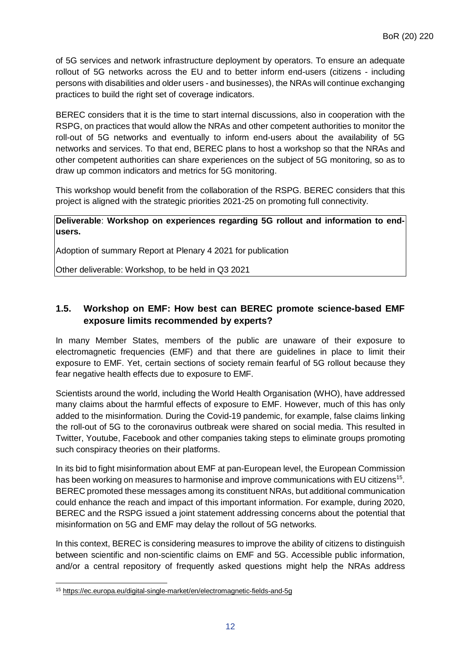of 5G services and network infrastructure deployment by operators. To ensure an adequate rollout of 5G networks across the EU and to better inform end-users (citizens - including persons with disabilities and older users - and businesses), the NRAs will continue exchanging practices to build the right set of coverage indicators.

BEREC considers that it is the time to start internal discussions, also in cooperation with the RSPG, on practices that would allow the NRAs and other competent authorities to monitor the roll-out of 5G networks and eventually to inform end-users about the availability of 5G networks and services. To that end, BEREC plans to host a workshop so that the NRAs and other competent authorities can share experiences on the subject of 5G monitoring, so as to draw up common indicators and metrics for 5G monitoring.

This workshop would benefit from the collaboration of the RSPG. BEREC considers that this project is aligned with the strategic priorities 2021-25 on promoting full connectivity.

#### **Deliverable**: **Workshop on experiences regarding 5G rollout and information to endusers.**

Adoption of summary Report at Plenary 4 2021 for publication

Other deliverable: Workshop, to be held in Q3 2021

# <span id="page-11-0"></span>**1.5. Workshop on EMF: How best can BEREC promote science-based EMF exposure limits recommended by experts?**

In many Member States, members of the public are unaware of their exposure to electromagnetic frequencies (EMF) and that there are guidelines in place to limit their exposure to EMF. Yet, certain sections of society remain fearful of 5G rollout because they fear negative health effects due to exposure to EMF.

Scientists around the world, including the World Health Organisation (WHO), have addressed many claims about the harmful effects of exposure to EMF. However, much of this has only added to the misinformation. During the Covid-19 pandemic, for example, false claims linking the roll-out of 5G to the coronavirus outbreak were shared on social media. This resulted in Twitter, Youtube, Facebook and other companies taking steps to eliminate groups promoting such conspiracy theories on their platforms.

In its bid to fight misinformation about EMF at pan-European level, the European Commission has been working on measures to harmonise and improve communications with EU citizens<sup>15</sup>. BEREC promoted these messages among its constituent NRAs, but additional communication could enhance the reach and impact of this important information. For example, during 2020, BEREC and the RSPG issued a joint statement addressing concerns about the potential that misinformation on 5G and EMF may delay the rollout of 5G networks.

In this context, BEREC is considering measures to improve the ability of citizens to distinguish between scientific and non-scientific claims on EMF and 5G. Accessible public information, and/or a central repository of frequently asked questions might help the NRAs address

<span id="page-11-1"></span> $\overline{a}$ <sup>15</sup> <https://ec.europa.eu/digital-single-market/en/electromagnetic-fields-and-5g>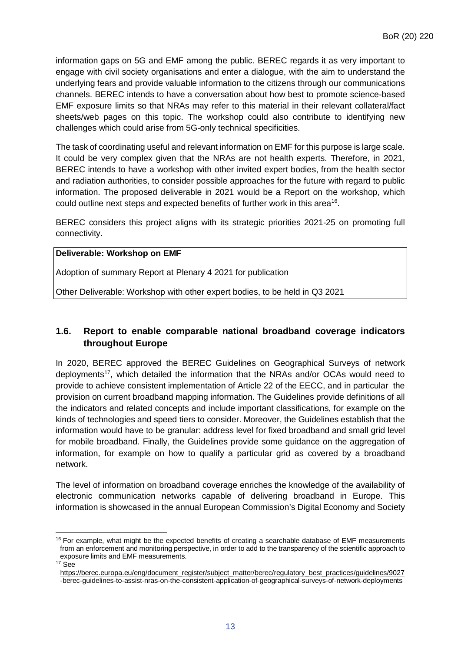information gaps on 5G and EMF among the public. BEREC regards it as very important to engage with civil society organisations and enter a dialogue, with the aim to understand the underlying fears and provide valuable information to the citizens through our communications channels. BEREC intends to have a conversation about how best to promote science-based EMF exposure limits so that NRAs may refer to this material in their relevant collateral/fact sheets/web pages on this topic. The workshop could also contribute to identifying new challenges which could arise from 5G-only technical specificities.

The task of coordinating useful and relevant information on EMF for this purpose is large scale. It could be very complex given that the NRAs are not health experts. Therefore, in 2021, BEREC intends to have a workshop with other invited expert bodies, from the health sector and radiation authorities, to consider possible approaches for the future with regard to public information. The proposed deliverable in 2021 would be a Report on the workshop, which could outline next steps and expected benefits of further work in this area<sup>16</sup>.

BEREC considers this project aligns with its strategic priorities 2021-25 on promoting full connectivity.

#### **Deliverable: Workshop on EMF**

Adoption of summary Report at Plenary 4 2021 for publication

Other Deliverable: Workshop with other expert bodies, to be held in Q3 2021

# <span id="page-12-0"></span>**1.6. Report to enable comparable national broadband coverage indicators throughout Europe**

In 2020, BEREC approved the BEREC Guidelines on Geographical Surveys of network deployments<sup>17</sup>, which detailed the information that the NRAs and/or OCAs would need to provide to achieve consistent implementation of Article 22 of the EECC, and in particular the provision on current broadband mapping information. The Guidelines provide definitions of all the indicators and related concepts and include important classifications, for example on the kinds of technologies and speed tiers to consider. Moreover, the Guidelines establish that the information would have to be granular: address level for fixed broadband and small grid level for mobile broadband. Finally, the Guidelines provide some guidance on the aggregation of information, for example on how to qualify a particular grid as covered by a broadband network.

The level of information on broadband coverage enriches the knowledge of the availability of electronic communication networks capable of delivering broadband in Europe. This information is showcased in the annual European Commission's Digital Economy and Society

<span id="page-12-1"></span> $\overline{a}$  $16$  For example, what might be the expected benefits of creating a searchable database of EMF measurements from an enforcement and monitoring perspective, in order to add to the transparency of the scientific approach to exposure limits and EMF measurements.

<span id="page-12-2"></span> $17$  See

[https://berec.europa.eu/eng/document\\_register/subject\\_matter/berec/regulatory\\_best\\_practices/guidelines/9027](https://berec.europa.eu/eng/document_register/subject_matter/berec/regulatory_best_practices/guidelines/9027-berec-guidelines-to-assist-nras-on-the-consistent-application-of-geographical-surveys-of-network-deployments) [-berec-guidelines-to-assist-nras-on-the-consistent-application-of-geographical-surveys-of-network-deployments](https://berec.europa.eu/eng/document_register/subject_matter/berec/regulatory_best_practices/guidelines/9027-berec-guidelines-to-assist-nras-on-the-consistent-application-of-geographical-surveys-of-network-deployments)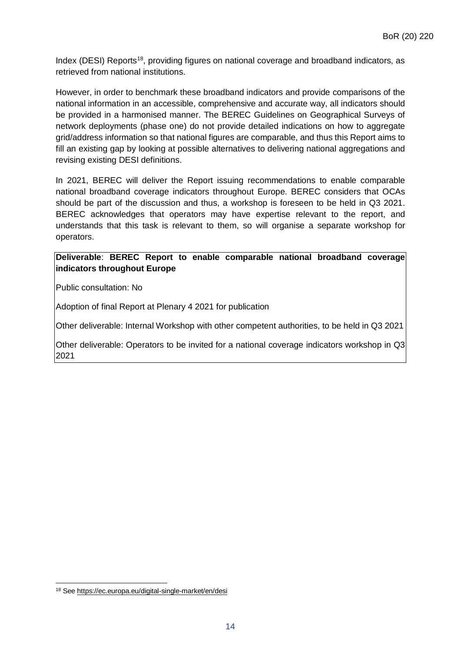Index (DESI) Reports<sup>[18](#page-13-0)</sup>, providing figures on national coverage and broadband indicators, as retrieved from national institutions.

However, in order to benchmark these broadband indicators and provide comparisons of the national information in an accessible, comprehensive and accurate way, all indicators should be provided in a harmonised manner. The BEREC Guidelines on Geographical Surveys of network deployments (phase one) do not provide detailed indications on how to aggregate grid/address information so that national figures are comparable, and thus this Report aims to fill an existing gap by looking at possible alternatives to delivering national aggregations and revising existing DESI definitions.

In 2021, BEREC will deliver the Report issuing recommendations to enable comparable national broadband coverage indicators throughout Europe. BEREC considers that OCAs should be part of the discussion and thus, a workshop is foreseen to be held in Q3 2021. BEREC acknowledges that operators may have expertise relevant to the report, and understands that this task is relevant to them, so will organise a separate workshop for operators.

#### **Deliverable**: **BEREC Report to enable comparable national broadband coverage indicators throughout Europe**

Public consultation: No

Adoption of final Report at Plenary 4 2021 for publication

Other deliverable: Internal Workshop with other competent authorities, to be held in Q3 2021

Other deliverable: Operators to be invited for a national coverage indicators workshop in Q3 2021

<span id="page-13-0"></span> $\overline{a}$ <sup>18</sup> See <https://ec.europa.eu/digital-single-market/en/desi>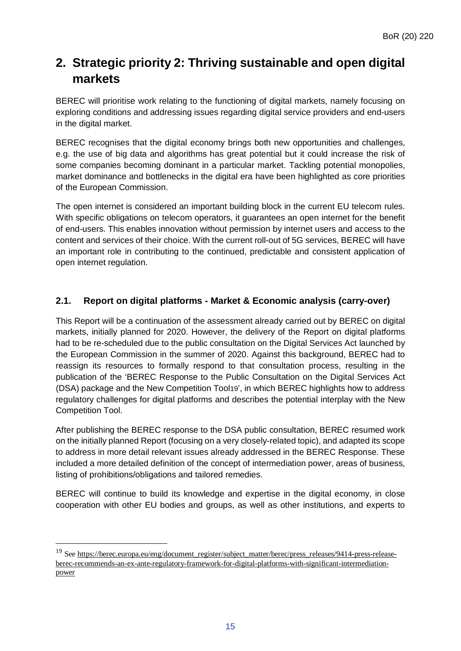# <span id="page-14-0"></span>**2. Strategic priority 2: Thriving sustainable and open digital markets**

BEREC will prioritise work relating to the functioning of digital markets, namely focusing on exploring conditions and addressing issues regarding digital service providers and end-users in the digital market.

BEREC recognises that the digital economy brings both new opportunities and challenges, e.g. the use of big data and algorithms has great potential but it could increase the risk of some companies becoming dominant in a particular market. Tackling potential monopolies, market dominance and bottlenecks in the digital era have been highlighted as core priorities of the European Commission.

The open internet is considered an important building block in the current EU telecom rules. With specific obligations on telecom operators, it guarantees an open internet for the benefit of end-users. This enables innovation without permission by internet users and access to the content and services of their choice. With the current roll-out of 5G services, BEREC will have an important role in contributing to the continued, predictable and consistent application of open internet regulation.

# <span id="page-14-1"></span>**2.1. Report on digital platforms - Market & Economic analysis (carry-over)**

This Report will be a continuation of the assessment already carried out by BEREC on digital markets, initially planned for 2020. However, the delivery of the Report on digital platforms had to be re-scheduled due to the public consultation on the Digital Services Act launched by the European Commission in the summer of 2020. Against this background, BEREC had to reassign its resources to formally respond to that consultation process, resulting in the publication of the 'BEREC Response to the Public Consultation on the Digital Services Act (DSA) package and the New Competition Too[l19](#page-14-2)', in which BEREC highlights how to address regulatory challenges for digital platforms and describes the potential interplay with the New Competition Tool.

After publishing the BEREC response to the DSA public consultation, BEREC resumed work on the initially planned Report (focusing on a very closely-related topic), and adapted its scope to address in more detail relevant issues already addressed in the BEREC Response. These included a more detailed definition of the concept of intermediation power, areas of business, listing of prohibitions/obligations and tailored remedies.

BEREC will continue to build its knowledge and expertise in the digital economy, in close cooperation with other EU bodies and groups, as well as other institutions, and experts to

<span id="page-14-2"></span><sup>&</sup>lt;sup>19</sup> See [https://berec.europa.eu/eng/document\\_register/subject\\_matter/berec/press\\_releases/9414-press-release](https://ibpt-bipt.bams.belnet.be/fmlurlsvc/?fewReq=:B:JVg8NzM3PCBwOzQoNiBvYjs2Nzw2NyB1b2FoZ3JzdGM7PzE/PmdjNDE2YDdiN2MyNzUzNzcwPzM/MjAwZzFjMDY2PjAxYmJkMiByOzcwNjAyNjAxNDcgd29iOzZHV0EzSk1qNjY+PzUzKzZHV0EzSk1oNjY+PzUzIHRldnI7S29jbWMoYmMoVGNhckZkb3ZyKGRjIGU7MzcgbmJqOzY=&url=https%3a%2f%2fberec.europa.eu%2feng%2fdocument_register%2fsubject_matter%2fberec%2fpress_releases%2f9414-press-release-berec-recommends-an-ex-ante-regulatory-framework-for-digital-platforms-with-significant-intermediation-power)[berec-recommends-an-ex-ante-regulatory-framework-for-digital-platforms-with-significant-intermediation](https://ibpt-bipt.bams.belnet.be/fmlurlsvc/?fewReq=:B:JVg8NzM3PCBwOzQoNiBvYjs2Nzw2NyB1b2FoZ3JzdGM7PzE/PmdjNDE2YDdiN2MyNzUzNzcwPzM/MjAwZzFjMDY2PjAxYmJkMiByOzcwNjAyNjAxNDcgd29iOzZHV0EzSk1qNjY+PzUzKzZHV0EzSk1oNjY+PzUzIHRldnI7S29jbWMoYmMoVGNhckZkb3ZyKGRjIGU7MzcgbmJqOzY=&url=https%3a%2f%2fberec.europa.eu%2feng%2fdocument_register%2fsubject_matter%2fberec%2fpress_releases%2f9414-press-release-berec-recommends-an-ex-ante-regulatory-framework-for-digital-platforms-with-significant-intermediation-power)[power](https://ibpt-bipt.bams.belnet.be/fmlurlsvc/?fewReq=:B:JVg8NzM3PCBwOzQoNiBvYjs2Nzw2NyB1b2FoZ3JzdGM7PzE/PmdjNDE2YDdiN2MyNzUzNzcwPzM/MjAwZzFjMDY2PjAxYmJkMiByOzcwNjAyNjAxNDcgd29iOzZHV0EzSk1qNjY+PzUzKzZHV0EzSk1oNjY+PzUzIHRldnI7S29jbWMoYmMoVGNhckZkb3ZyKGRjIGU7MzcgbmJqOzY=&url=https%3a%2f%2fberec.europa.eu%2feng%2fdocument_register%2fsubject_matter%2fberec%2fpress_releases%2f9414-press-release-berec-recommends-an-ex-ante-regulatory-framework-for-digital-platforms-with-significant-intermediation-power)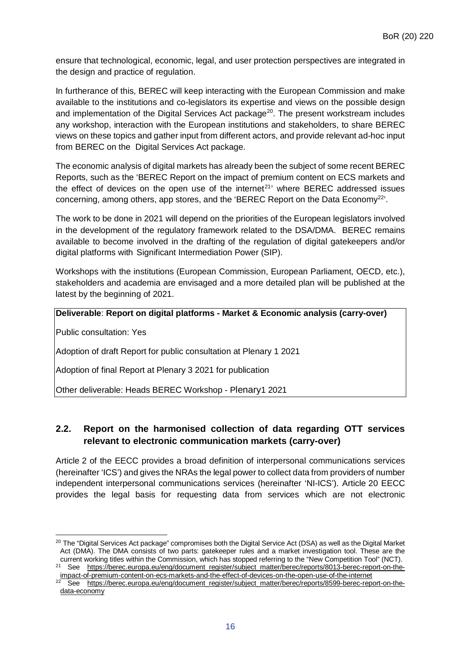ensure that technological, economic, legal, and user protection perspectives are integrated in the design and practice of regulation.

In furtherance of this, BEREC will keep interacting with the European Commission and make available to the institutions and co-legislators its expertise and views on the possible design and implementation of the Digital Services Act package<sup>20</sup>. The present workstream includes any workshop, interaction with the European institutions and stakeholders, to share BEREC views on these topics and gather input from different actors, and provide relevant ad-hoc input from BEREC on the Digital Services Act package.

The economic analysis of digital markets has already been the subject of some recent BEREC Reports, such as the 'BEREC Report on the impact of premium content on ECS markets and the effect of devices on the open use of the internet<sup>[21](#page-15-2)</sup>' where BEREC addressed issues concerning, among others, app stores, and the 'BEREC Report on the Data Economy<sup>[22'](#page-15-3)</sup>.

The work to be done in 2021 will depend on the priorities of the European legislators involved in the development of the regulatory framework related to the DSA/DMA. BEREC remains available to become involved in the drafting of the regulation of digital gatekeepers and/or digital platforms with Significant Intermediation Power (SIP).

Workshops with the institutions (European Commission, European Parliament, OECD, etc.), stakeholders and academia are envisaged and a more detailed plan will be published at the latest by the beginning of 2021.

**Deliverable**: **Report on digital platforms - Market & Economic analysis (carry-over)**

Public consultation: Yes

 $\overline{a}$ 

Adoption of draft Report for public consultation at Plenary 1 2021

Adoption of final Report at Plenary 3 2021 for publication

Other deliverable: Heads BEREC Workshop - Plenary1 2021

# <span id="page-15-0"></span>**2.2. Report on the harmonised collection of data regarding OTT services relevant to electronic communication markets (carry-over)**

Article 2 of the EECC provides a broad definition of interpersonal communications services (hereinafter 'ICS') and gives the NRAs the legal power to collect data from providers of number independent interpersonal communications services (hereinafter 'NI-ICS'). Article 20 EECC provides the legal basis for requesting data from services which are not electronic

<span id="page-15-1"></span><sup>&</sup>lt;sup>20</sup> The "Digital Services Act package" compromises both the Digital Service Act (DSA) as well as the Digital Market Act (DMA). The DMA consists of two parts: gatekeeper rules and a market investigation tool. These are the current working titles within the Commission, which has stopped referring to the "New Competition Tool" (NCT).

<span id="page-15-2"></span><sup>&</sup>lt;sup>21</sup> See [https://berec.europa.eu/eng/document\\_register/subject\\_matter/berec/reports/8013-berec-report-on-the](https://berec.europa.eu/eng/document_register/subject_matter/berec/reports/8013-berec-report-on-the-impact-of-premium-content-on-ecs-markets-and-the-effect-of-devices-on-the-open-use-of-the-internet)[impact-of-premium-content-on-ecs-markets-and-the-effect-of-devices-on-the-open-use-of-the-internet](https://berec.europa.eu/eng/document_register/subject_matter/berec/reports/8013-berec-report-on-the-impact-of-premium-content-on-ecs-markets-and-the-effect-of-devices-on-the-open-use-of-the-internet)

<span id="page-15-3"></span><sup>22</sup> See [https://berec.europa.eu/eng/document\\_register/subject\\_matter/berec/reports/8599-berec-report-on-the](https://berec.europa.eu/eng/document_register/subject_matter/berec/reports/8599-berec-report-on-the-data-economy)[data-economy](https://berec.europa.eu/eng/document_register/subject_matter/berec/reports/8599-berec-report-on-the-data-economy)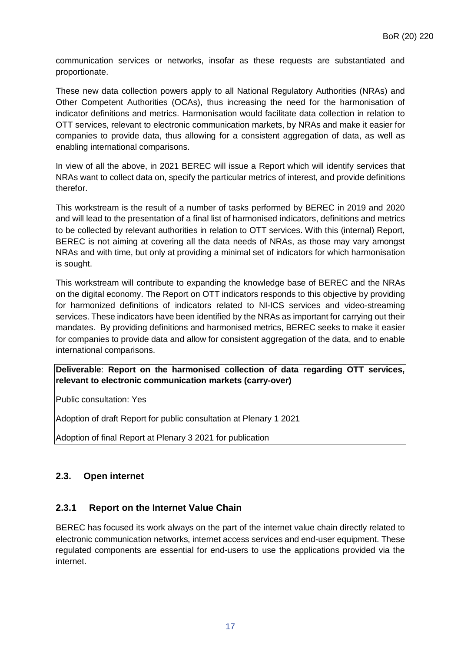communication services or networks, insofar as these requests are substantiated and proportionate.

These new data collection powers apply to all National Regulatory Authorities (NRAs) and Other Competent Authorities (OCAs), thus increasing the need for the harmonisation of indicator definitions and metrics. Harmonisation would facilitate data collection in relation to OTT services, relevant to electronic communication markets, by NRAs and make it easier for companies to provide data, thus allowing for a consistent aggregation of data, as well as enabling international comparisons.

In view of all the above, in 2021 BEREC will issue a Report which will identify services that NRAs want to collect data on, specify the particular metrics of interest, and provide definitions therefor.

This workstream is the result of a number of tasks performed by BEREC in 2019 and 2020 and will lead to the presentation of a final list of harmonised indicators, definitions and metrics to be collected by relevant authorities in relation to OTT services. With this (internal) Report, BEREC is not aiming at covering all the data needs of NRAs, as those may vary amongst NRAs and with time, but only at providing a minimal set of indicators for which harmonisation is sought.

This workstream will contribute to expanding the knowledge base of BEREC and the NRAs on the digital economy. The Report on OTT indicators responds to this objective by providing for harmonized definitions of indicators related to NI-ICS services and video-streaming services. These indicators have been identified by the NRAs as important for carrying out their mandates. By providing definitions and harmonised metrics, BEREC seeks to make it easier for companies to provide data and allow for consistent aggregation of the data, and to enable international comparisons.

#### **Deliverable**: **Report on the harmonised collection of data regarding OTT services, relevant to electronic communication markets (carry-over)**

Public consultation: Yes

Adoption of draft Report for public consultation at Plenary 1 2021

Adoption of final Report at Plenary 3 2021 for publication

# <span id="page-16-0"></span>**2.3. Open internet**

#### <span id="page-16-1"></span>**2.3.1 Report on the Internet Value Chain**

BEREC has focused its work always on the part of the internet value chain directly related to electronic communication networks, internet access services and end-user equipment. These regulated components are essential for end-users to use the applications provided via the internet.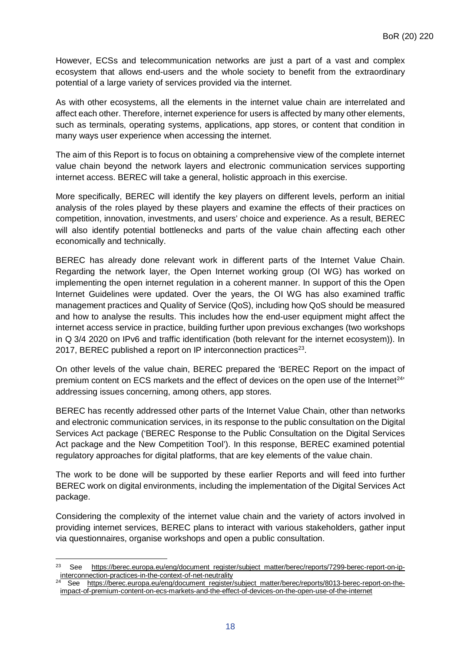However, ECSs and telecommunication networks are just a part of a vast and complex ecosystem that allows end-users and the whole society to benefit from the extraordinary potential of a large variety of services provided via the internet.

As with other ecosystems, all the elements in the internet value chain are interrelated and affect each other. Therefore, internet experience for users is affected by many other elements, such as terminals, operating systems, applications, app stores, or content that condition in many ways user experience when accessing the internet.

The aim of this Report is to focus on obtaining a comprehensive view of the complete internet value chain beyond the network layers and electronic communication services supporting internet access. BEREC will take a general, holistic approach in this exercise.

More specifically, BEREC will identify the key players on different levels, perform an initial analysis of the roles played by these players and examine the effects of their practices on competition, innovation, investments, and users' choice and experience. As a result, BEREC will also identify potential bottlenecks and parts of the value chain affecting each other economically and technically.

BEREC has already done relevant work in different parts of the Internet Value Chain. Regarding the network layer, the Open Internet working group (OI WG) has worked on implementing the open internet regulation in a coherent manner. In support of this the Open Internet Guidelines were updated. Over the years, the OI WG has also examined traffic management practices and Quality of Service (QoS), including how QoS should be measured and how to analyse the results. This includes how the end-user equipment might affect the internet access service in practice, building further upon previous exchanges (two workshops in Q 3/4 2020 on IPv6 and traffic identification (both relevant for the internet ecosystem)). In 2017, BEREC published a report on IP interconnection practices<sup>23</sup>.

On other levels of the value chain, BEREC prepared the 'BEREC Report on the impact of premium content on ECS markets and the effect of devices on the open use of the Internet<sup>[24](#page-17-1)'</sup> addressing issues concerning, among others, app stores.

BEREC has recently addressed other parts of the Internet Value Chain, other than networks and electronic communication services, in its response to the public consultation on the Digital Services Act package ('BEREC Response to the Public Consultation on the Digital Services Act package and the New Competition Tool'). In this response, BEREC examined potential regulatory approaches for digital platforms, that are key elements of the value chain.

The work to be done will be supported by these earlier Reports and will feed into further BEREC work on digital environments, including the implementation of the Digital Services Act package.

Considering the complexity of the internet value chain and the variety of actors involved in providing internet services, BEREC plans to interact with various stakeholders, gather input via questionnaires, organise workshops and open a public consultation.

<span id="page-17-0"></span> $\overline{a}$ <sup>23</sup> See [https://berec.europa.eu/eng/document\\_register/subject\\_matter/berec/reports/7299-berec-report-on-ip](https://berec.europa.eu/eng/document_register/subject_matter/berec/reports/7299-berec-report-on-ip-interconnection-practices-in-the-context-of-net-neutrality)[interconnection-practices-in-the-context-of-net-neutrality](https://berec.europa.eu/eng/document_register/subject_matter/berec/reports/7299-berec-report-on-ip-interconnection-practices-in-the-context-of-net-neutrality)

<span id="page-17-1"></span><sup>24</sup> See [https://berec.europa.eu/eng/document\\_register/subject\\_matter/berec/reports/8013-berec-report-on-the](https://berec.europa.eu/eng/document_register/subject_matter/berec/reports/8013-berec-report-on-the-impact-of-premium-content-on-ecs-markets-and-the-effect-of-devices-on-the-open-use-of-the-internet)[impact-of-premium-content-on-ecs-markets-and-the-effect-of-devices-on-the-open-use-of-the-internet](https://berec.europa.eu/eng/document_register/subject_matter/berec/reports/8013-berec-report-on-the-impact-of-premium-content-on-ecs-markets-and-the-effect-of-devices-on-the-open-use-of-the-internet)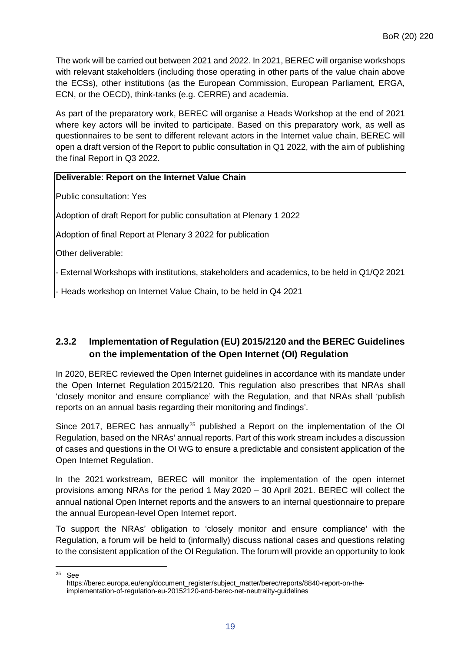The work will be carried out between 2021 and 2022. In 2021, BEREC will organise workshops with relevant stakeholders (including those operating in other parts of the value chain above the ECSs), other institutions (as the European Commission, European Parliament, ERGA, ECN, or the OECD), think-tanks (e.g. CERRE) and academia.

As part of the preparatory work, BEREC will organise a Heads Workshop at the end of 2021 where key actors will be invited to participate. Based on this preparatory work, as well as questionnaires to be sent to different relevant actors in the Internet value chain, BEREC will open a draft version of the Report to public consultation in Q1 2022, with the aim of publishing the final Report in Q3 2022.

#### **Deliverable**: **Report on the Internet Value Chain**

Public consultation: Yes

Adoption of draft Report for public consultation at Plenary 1 2022

Adoption of final Report at Plenary 3 2022 for publication

Other deliverable:

- External Workshops with institutions, stakeholders and academics, to be held in Q1/Q2 2021

- Heads workshop on Internet Value Chain, to be held in Q4 2021

# <span id="page-18-0"></span>**2.3.2 Implementation of Regulation (EU) 2015/2120 and the BEREC Guidelines on the implementation of the Open Internet (OI) Regulation**

In 2020, BEREC reviewed the Open Internet guidelines in accordance with its mandate under the Open Internet Regulation 2015/2120. This regulation also prescribes that NRAs shall 'closely monitor and ensure compliance' with the Regulation, and that NRAs shall 'publish reports on an annual basis regarding their monitoring and findings'.

Since 2017, BEREC has annually<sup>[25](#page-18-1)</sup> published a Report on the implementation of the OI Regulation, based on the NRAs' annual reports. Part of this work stream includes a discussion of cases and questions in the OI WG to ensure a predictable and consistent application of the Open Internet Regulation.

In the 2021 workstream, BEREC will monitor the implementation of the open internet provisions among NRAs for the period 1 May 2020 – 30 April 2021. BEREC will collect the annual national Open Internet reports and the answers to an internal questionnaire to prepare the annual European-level Open Internet report.

To support the NRAs' obligation to 'closely monitor and ensure compliance' with the Regulation, a forum will be held to (informally) discuss national cases and questions relating to the consistent application of the OI Regulation. The forum will provide an opportunity to look

<span id="page-18-1"></span>25 **See** 

https://berec.europa.eu/eng/document\_register/subject\_matter/berec/reports/8840-report-on-theimplementation-of-regulation-eu-20152120-and-berec-net-neutrality-guidelines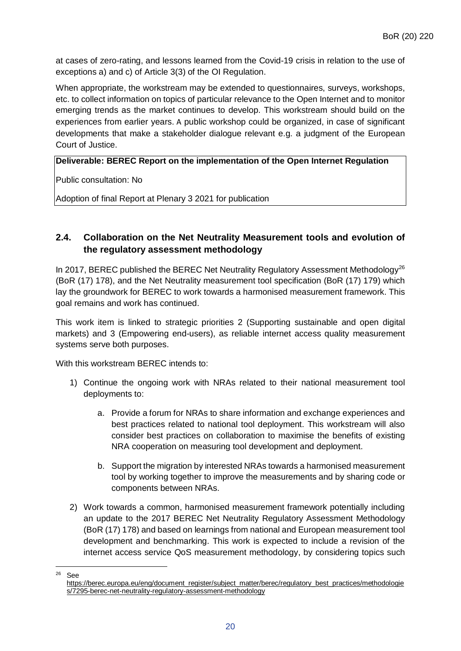at cases of zero-rating, and lessons learned from the Covid-19 crisis in relation to the use of exceptions a) and c) of Article 3(3) of the OI Regulation.

When appropriate, the workstream may be extended to questionnaires, surveys, workshops, etc. to collect information on topics of particular relevance to the Open Internet and to monitor emerging trends as the market continues to develop. This workstream should build on the experiences from earlier years. A public workshop could be organized, in case of significant developments that make a stakeholder dialogue relevant e.g. a judgment of the European Court of Justice.

#### **Deliverable: BEREC Report on the implementation of the Open Internet Regulation**

Public consultation: No

Adoption of final Report at Plenary 3 2021 for publication

# <span id="page-19-0"></span>**2.4. Collaboration on the Net Neutrality Measurement tools and evolution of the regulatory assessment methodology**

In 2017, BEREC published the BEREC Net Neutrality Regulatory Assessment Methodology<sup>26</sup> (BoR (17) 178), and the Net Neutrality measurement tool specification (BoR (17) 179) which lay the groundwork for BEREC to work towards a harmonised measurement framework. This goal remains and work has continued.

This work item is linked to strategic priorities 2 (Supporting sustainable and open digital markets) and 3 (Empowering end-users), as reliable internet access quality measurement systems serve both purposes.

With this workstream BERFC intends to:

- 1) Continue the ongoing work with NRAs related to their national measurement tool deployments to:
	- a. Provide a forum for NRAs to share information and exchange experiences and best practices related to national tool deployment. This workstream will also consider best practices on collaboration to maximise the benefits of existing NRA cooperation on measuring tool development and deployment.
	- b. Support the migration by interested NRAs towards a harmonised measurement tool by working together to improve the measurements and by sharing code or components between NRAs.
- 2) Work towards a common, harmonised measurement framework potentially including an update to the 2017 BEREC Net Neutrality Regulatory Assessment Methodology (BoR (17) 178) and based on learnings from national and European measurement tool development and benchmarking. This work is expected to include a revision of the internet access service QoS measurement methodology, by considering topics such

<span id="page-19-1"></span><sup>26</sup> See

[https://berec.europa.eu/eng/document\\_register/subject\\_matter/berec/regulatory\\_best\\_practices/methodologie](https://berec.europa.eu/eng/document_register/subject_matter/berec/regulatory_best_practices/methodologies/7295-berec-net-neutrality-regulatory-assessment-methodology) [s/7295-berec-net-neutrality-regulatory-assessment-methodology](https://berec.europa.eu/eng/document_register/subject_matter/berec/regulatory_best_practices/methodologies/7295-berec-net-neutrality-regulatory-assessment-methodology)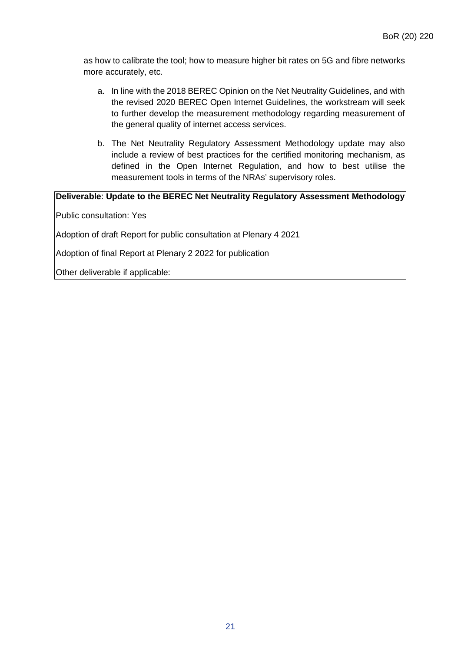as how to calibrate the tool; how to measure higher bit rates on 5G and fibre networks more accurately, etc.

- a. In line with the 2018 BEREC Opinion on the Net Neutrality Guidelines, and with the revised 2020 BEREC Open Internet Guidelines, the workstream will seek to further develop the measurement methodology regarding measurement of the general quality of internet access services.
- b. The Net Neutrality Regulatory Assessment Methodology update may also include a review of best practices for the certified monitoring mechanism, as defined in the Open Internet Regulation, and how to best utilise the measurement tools in terms of the NRAs' supervisory roles.

**Deliverable**: **Update to the BEREC Net Neutrality Regulatory Assessment Methodology**

Public consultation: Yes

Adoption of draft Report for public consultation at Plenary 4 2021

Adoption of final Report at Plenary 2 2022 for publication

Other deliverable if applicable: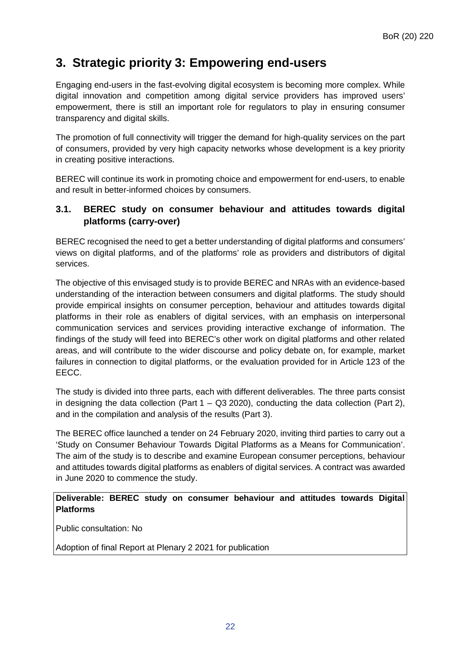# <span id="page-21-0"></span>**3. Strategic priority 3: Empowering end-users**

Engaging end-users in the fast-evolving digital ecosystem is becoming more complex. While digital innovation and competition among digital service providers has improved users' empowerment, there is still an important role for regulators to play in ensuring consumer transparency and digital skills.

The promotion of full connectivity will trigger the demand for high-quality services on the part of consumers, provided by very high capacity networks whose development is a key priority in creating positive interactions.

BEREC will continue its work in promoting choice and empowerment for end-users, to enable and result in better-informed choices by consumers.

### <span id="page-21-1"></span>**3.1. BEREC study on consumer behaviour and attitudes towards digital platforms (carry-over)**

BEREC recognised the need to get a better understanding of digital platforms and consumers' views on digital platforms, and of the platforms' role as providers and distributors of digital services.

The objective of this envisaged study is to provide BEREC and NRAs with an evidence-based understanding of the interaction between consumers and digital platforms. The study should provide empirical insights on consumer perception, behaviour and attitudes towards digital platforms in their role as enablers of digital services, with an emphasis on interpersonal communication services and services providing interactive exchange of information. The findings of the study will feed into BEREC's other work on digital platforms and other related areas, and will contribute to the wider discourse and policy debate on, for example, market failures in connection to digital platforms, or the evaluation provided for in Article 123 of the EECC.

The study is divided into three parts, each with different deliverables. The three parts consist in designing the data collection (Part  $1 - Q3 2020$ ), conducting the data collection (Part 2), and in the compilation and analysis of the results (Part 3).

The BEREC office launched a tender on 24 February 2020, inviting third parties to carry out a 'Study on Consumer Behaviour Towards Digital Platforms as a Means for Communication'. The aim of the study is to describe and examine European consumer perceptions, behaviour and attitudes towards digital platforms as enablers of digital services. A contract was awarded in June 2020 to commence the study.

#### **Deliverable: BEREC study on consumer behaviour and attitudes towards Digital Platforms**

Public consultation: No

Adoption of final Report at Plenary 2 2021 for publication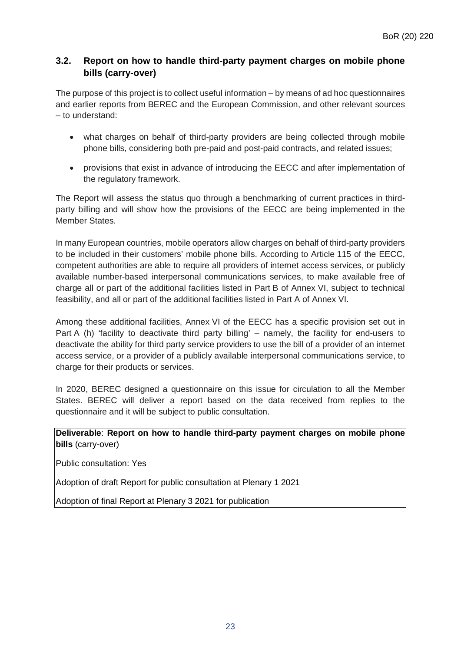# <span id="page-22-0"></span>**3.2. Report on how to handle third-party payment charges on mobile phone bills (carry-over)**

The purpose of this project is to collect useful information – by means of ad hoc questionnaires and earlier reports from BEREC and the European Commission, and other relevant sources – to understand:

- what charges on behalf of third-party providers are being collected through mobile phone bills, considering both pre-paid and post-paid contracts, and related issues;
- provisions that exist in advance of introducing the EECC and after implementation of the regulatory framework.

The Report will assess the status quo through a benchmarking of current practices in thirdparty billing and will show how the provisions of the EECC are being implemented in the Member States.

In many European countries, mobile operators allow charges on behalf of third-party providers to be included in their customers' mobile phone bills. According to Article 115 of the EECC, competent authorities are able to require all providers of internet access services, or publicly available number-based interpersonal communications services, to make available free of charge all or part of the additional facilities listed in Part B of Annex VI, subject to technical feasibility, and all or part of the additional facilities listed in Part A of Annex VI.

Among these additional facilities, Annex VI of the EECC has a specific provision set out in Part A (h) 'facility to deactivate third party billing' – namely, the facility for end-users to deactivate the ability for third party service providers to use the bill of a provider of an internet access service, or a provider of a publicly available interpersonal communications service, to charge for their products or services.

In 2020, BEREC designed a questionnaire on this issue for circulation to all the Member States. BEREC will deliver a report based on the data received from replies to the questionnaire and it will be subject to public consultation.

**Deliverable**: **Report on how to handle third-party payment charges on mobile phone bills** (carry-over)

Public consultation: Yes

Adoption of draft Report for public consultation at Plenary 1 2021

Adoption of final Report at Plenary 3 2021 for publication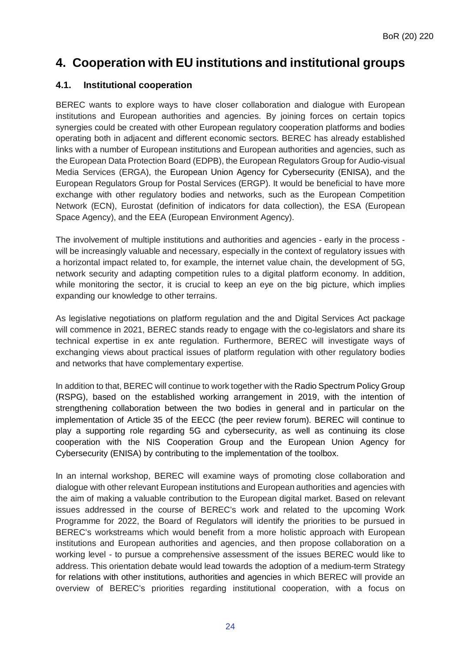# <span id="page-23-0"></span>**4. Cooperation with EU institutions and institutional groups**

#### <span id="page-23-1"></span>**4.1. Institutional cooperation**

BEREC wants to explore ways to have closer collaboration and dialogue with European institutions and European authorities and agencies. By joining forces on certain topics synergies could be created with other European regulatory cooperation platforms and bodies operating both in adjacent and different economic sectors. BEREC has already established links with a number of European institutions and European authorities and agencies, such as the European Data Protection Board (EDPB), the European Regulators Group for Audio-visual Media Services (ERGA), the European Union Agency for Cybersecurity (ENISA), and the European Regulators Group for Postal Services (ERGP). It would be beneficial to have more exchange with other regulatory bodies and networks, such as the European Competition Network (ECN), Eurostat (definition of indicators for data collection), the ESA (European Space Agency), and the EEA (European Environment Agency).

The involvement of multiple institutions and authorities and agencies - early in the process will be increasingly valuable and necessary, especially in the context of regulatory issues with a horizontal impact related to, for example, the internet value chain, the development of 5G, network security and adapting competition rules to a digital platform economy. In addition, while monitoring the sector, it is crucial to keep an eye on the big picture, which implies expanding our knowledge to other terrains.

As legislative negotiations on platform regulation and the and Digital Services Act package will commence in 2021, BEREC stands ready to engage with the co-legislators and share its technical expertise in ex ante regulation. Furthermore, BEREC will investigate ways of exchanging views about practical issues of platform regulation with other regulatory bodies and networks that have complementary expertise.

In addition to that, BEREC will continue to work together with the Radio Spectrum Policy Group (RSPG), based on the established working arrangement in 2019, with the intention of strengthening collaboration between the two bodies in general and in particular on the implementation of Article 35 of the EECC (the peer review forum). BEREC will continue to play a supporting role regarding 5G and cybersecurity, as well as continuing its close cooperation with the NIS Cooperation Group and the European Union Agency for Cybersecurity (ENISA) by contributing to the implementation of the toolbox.

In an internal workshop, BEREC will examine ways of promoting close collaboration and dialogue with other relevant European institutions and European authorities and agencies with the aim of making a valuable contribution to the European digital market. Based on relevant issues addressed in the course of BEREC's work and related to the upcoming Work Programme for 2022, the Board of Regulators will identify the priorities to be pursued in BEREC's workstreams which would benefit from a more holistic approach with European institutions and European authorities and agencies, and then propose collaboration on a working level - to pursue a comprehensive assessment of the issues BEREC would like to address. This orientation debate would lead towards the adoption of a medium-term Strategy for relations with other institutions, authorities and agencies in which BEREC will provide an overview of BEREC's priorities regarding institutional cooperation, with a focus on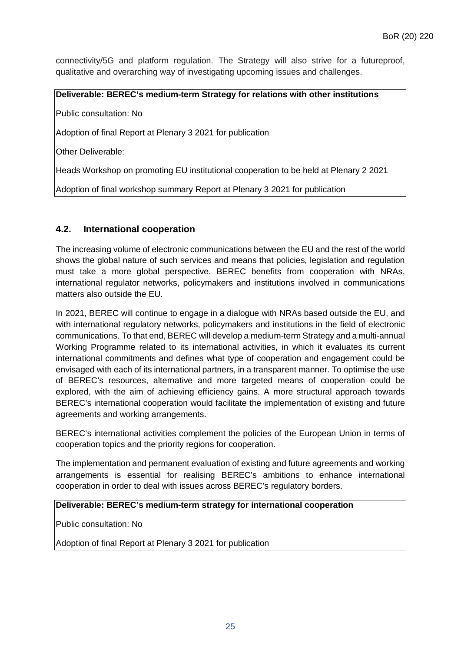connectivity/5G and platform regulation. The Strategy will also strive for a futureproof, qualitative and overarching way of investigating upcoming issues and challenges.

**Deliverable: BEREC's medium-term Strategy for relations with other institutions**

Public consultation: No

Adoption of final Report at Plenary 3 2021 for publication

Other Deliverable:

Heads Workshop on promoting EU institutional cooperation to be held at Plenary 2 2021

<span id="page-24-0"></span>Adoption of final workshop summary Report at Plenary 3 2021 for publication

#### **4.2. International cooperation**

The increasing volume of electronic communications between the EU and the rest of the world shows the global nature of such services and means that policies, legislation and regulation must take a more global perspective. BEREC benefits from cooperation with NRAs, international regulator networks, policymakers and institutions involved in communications matters also outside the EU.

In 2021, BEREC will continue to engage in a dialogue with NRAs based outside the EU, and with international regulatory networks, policymakers and institutions in the field of electronic communications. To that end, BEREC will develop a medium-term Strategy and a multi-annual Working Programme related to its international activities, in which it evaluates its current international commitments and defines what type of cooperation and engagement could be envisaged with each of its international partners, in a transparent manner. To optimise the use of BEREC's resources, alternative and more targeted means of cooperation could be explored, with the aim of achieving efficiency gains. A more structural approach towards BEREC's international cooperation would facilitate the implementation of existing and future agreements and working arrangements.

BEREC's international activities complement the policies of the European Union in terms of cooperation topics and the priority regions for cooperation.

The implementation and permanent evaluation of existing and future agreements and working arrangements is essential for realising BEREC's ambitions to enhance international cooperation in order to deal with issues across BEREC's regulatory borders.

#### **Deliverable: BEREC's medium-term strategy for international cooperation**

Public consultation: No

Adoption of final Report at Plenary 3 2021 for publication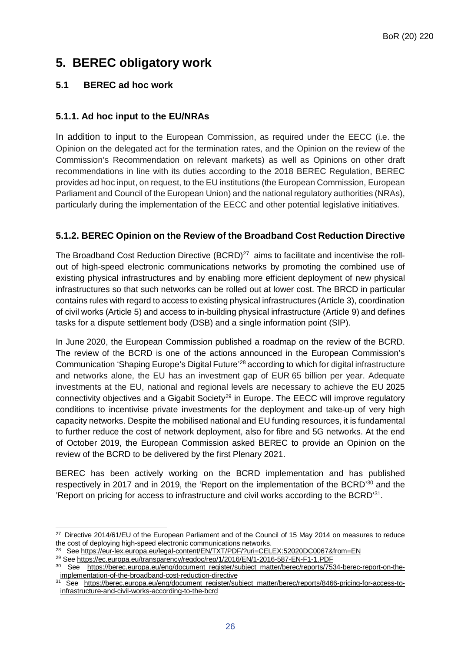# <span id="page-25-0"></span>**5. BEREC obligatory work**

# <span id="page-25-1"></span>**5.1 BEREC ad hoc work**

# <span id="page-25-2"></span>**5.1.1. Ad hoc input to the EU/NRAs**

In addition to input to the European Commission, as required under the EECC (i.e. the Opinion on the delegated act for the termination rates, and the Opinion on the review of the Commission's Recommendation on relevant markets) as well as Opinions on other draft recommendations in line with its duties according to the 2018 BEREC Regulation, BEREC provides ad hoc input, on request, to the EU institutions (the European Commission, European Parliament and Council of the European Union) and the national regulatory authorities (NRAs), particularly during the implementation of the EECC and other potential legislative initiatives.

# <span id="page-25-3"></span>**5.1.2. BEREC Opinion on the Review of the Broadband Cost Reduction Directive**

The Broadband Cost Reduction Directive (BCRD)<sup>[27](#page-25-4)</sup> aims to facilitate and incentivise the rollout of high-speed electronic communications networks by promoting the combined use of existing physical infrastructures and by enabling more efficient deployment of new physical infrastructures so that such networks can be rolled out at lower cost. The BRCD in particular contains rules with regard to access to existing physical infrastructures (Article 3), coordination of civil works (Article 5) and access to in-building physical infrastructure (Article 9) and defines tasks for a dispute settlement body (DSB) and a single information point (SIP).

In June 2020, the European Commission published a roadmap on the review of the BCRD. The review of the BCRD is one of the actions announced in the European Commission's Communication 'Shaping Europe's Digital Future'[28](#page-25-5) according to which for digital infrastructure and networks alone, the EU has an investment gap of EUR 65 billion per year. Adequate investments at the EU, national and regional levels are necessary to achieve the EU 2025 connectivity objectives and a Gigabit Society<sup>29</sup> in Europe. The EECC will improve regulatory conditions to incentivise private investments for the deployment and take-up of very high capacity networks. Despite the mobilised national and EU funding resources, it is fundamental to further reduce the cost of network deployment, also for fibre and 5G networks. At the end of October 2019, the European Commission asked BEREC to provide an Opinion on the review of the BCRD to be delivered by the first Plenary 2021.

BEREC has been actively working on the BCRD implementation and has published respectively in 2017 and in 2019, the 'Report on the implementation of the BCRD'<sup>[30](#page-25-7)</sup> and the 'Report on pricing for access to infrastructure and civil works according to the BCRD'<sup>31</sup>.

<span id="page-25-4"></span> $\overline{a}$ <sup>27</sup> Directive 2014/61/EU of the European Parliament and of the Council of 15 May 2014 on measures to reduce the cost of deploying high-speed electronic communications networks.

<span id="page-25-5"></span><sup>&</sup>lt;sup>28</sup> See <https://eur-lex.europa.eu/legal-content/EN/TXT/PDF/?uri=CELEX:52020DC0067&from=EN>

<span id="page-25-6"></span><sup>29</sup> See <https://ec.europa.eu/transparency/regdoc/rep/1/2016/EN/1-2016-587-EN-F1-1.PDF>

<span id="page-25-7"></span><sup>30</sup> See [https://berec.europa.eu/eng/document\\_register/subject\\_matter/berec/reports/7534-berec-report-on-the](https://berec.europa.eu/eng/document_register/subject_matter/berec/reports/7534-berec-report-on-the-implementation-of-the-broadband-cost-reduction-directive)[implementation-of-the-broadband-cost-reduction-directive](https://berec.europa.eu/eng/document_register/subject_matter/berec/reports/7534-berec-report-on-the-implementation-of-the-broadband-cost-reduction-directive)

<span id="page-25-8"></span><sup>31</sup> See [https://berec.europa.eu/eng/document\\_register/subject\\_matter/berec/reports/8466-pricing-for-access-to](https://berec.europa.eu/eng/document_register/subject_matter/berec/reports/8466-pricing-for-access-to-infrastructure-and-civil-works-according-to-the-bcrd)[infrastructure-and-civil-works-according-to-the-bcrd](https://berec.europa.eu/eng/document_register/subject_matter/berec/reports/8466-pricing-for-access-to-infrastructure-and-civil-works-according-to-the-bcrd)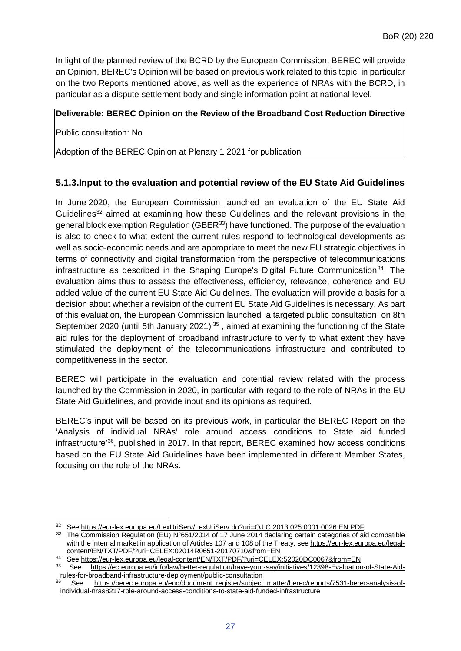In light of the planned review of the BCRD by the European Commission, BEREC will provide an Opinion. BEREC's Opinion will be based on previous work related to this topic, in particular on the two Reports mentioned above, as well as the experience of NRAs with the BCRD, in particular as a dispute settlement body and single information point at national level.

#### **Deliverable: BEREC Opinion on the Review of the Broadband Cost Reduction Directive**

Public consultation: No

Adoption of the BEREC Opinion at Plenary 1 2021 for publication

### <span id="page-26-0"></span>**5.1.3.Input to the evaluation and potential review of the EU State Aid Guidelines**

In June 2020, the European Commission launched an evaluation of the EU State Aid Guidelines<sup>[32](#page-26-1)</sup> aimed at examining how these Guidelines and the relevant provisions in the general block exemption Regulation (GBER<sup>33</sup>) have functioned. The purpose of the evaluation is also to check to what extent the current rules respond to technological developments as well as socio-economic needs and are appropriate to meet the new EU strategic objectives in terms of connectivity and digital transformation from the perspective of telecommunications infrastructure as described in the Shaping Europe's Digital Future Communication<sup>[34](#page-26-3)</sup>. The evaluation aims thus to assess the effectiveness, efficiency, relevance, coherence and EU added value of the current EU State Aid Guidelines. The evaluation will provide a basis for a decision about whether a revision of the current EU State Aid Guidelines is necessary. As part of this evaluation, the European Commission launched a targeted public consultation on 8th September 2020 (until 5th January 2021)<sup>[35](#page-26-4)</sup>, aimed at examining the functioning of the State aid rules for the deployment of broadband infrastructure to verify to what extent they have stimulated the deployment of the telecommunications infrastructure and contributed to competitiveness in the sector.

BEREC will participate in the evaluation and potential review related with the process launched by the Commission in 2020, in particular with regard to the role of NRAs in the EU State Aid Guidelines, and provide input and its opinions as required.

BEREC's input will be based on its previous work, in particular the BEREC Report on the 'Analysis of individual NRAs' role around access conditions to State aid funded infrastructure'[36,](#page-26-5) published in 2017. In that report, BEREC examined how access conditions based on the EU State Aid Guidelines have been implemented in different Member States, focusing on the role of the NRAs.

<span id="page-26-1"></span> $\overline{a}$ <sup>32</sup> See <https://eur-lex.europa.eu/LexUriServ/LexUriServ.do?uri=OJ:C:2013:025:0001:0026:EN:PDF>

<span id="page-26-2"></span><sup>33</sup> The Commission Regulation (EU) N°651/2014 of 17 June 2014 declaring certain categories of aid compatible with the internal market in application of Articles 107 and 108 of the Treaty, see [https://eur-lex.europa.eu/legal](https://eur-lex.europa.eu/legal-content/EN/TXT/PDF/?uri=CELEX:02014R0651-20170710&from=EN)[content/EN/TXT/PDF/?uri=CELEX:02014R0651-20170710&from=EN](https://eur-lex.europa.eu/legal-content/EN/TXT/PDF/?uri=CELEX:02014R0651-20170710&from=EN)

<sup>34</sup> See <https://eur-lex.europa.eu/legal-content/EN/TXT/PDF/?uri=CELEX:52020DC0067&from=EN><br>35 See https://ec.europa.eu/info/law/better-regulation/have-your-say/initiatives/12398-Evaluation

<span id="page-26-4"></span><span id="page-26-3"></span>[https://ec.europa.eu/info/law/better-regulation/have-your-say/initiatives/12398-Evaluation-of-State-Aid](https://ec.europa.eu/info/law/better-regulation/have-your-say/initiatives/12398-Evaluation-of-State-Aid-rules-for-broadband-infrastructure-deployment/public-consultation)[rules-for-broadband-infrastructure-deployment/public-consultation](https://ec.europa.eu/info/law/better-regulation/have-your-say/initiatives/12398-Evaluation-of-State-Aid-rules-for-broadband-infrastructure-deployment/public-consultation)<br>36 See https://base=su

<span id="page-26-5"></span>See [https://berec.europa.eu/eng/document\\_register/subject\\_matter/berec/reports/7531-berec-analysis-of](https://berec.europa.eu/eng/document_register/subject_matter/berec/reports/7531-berec-analysis-of-individual-nras8217-role-around-access-conditions-to-state-aid-funded-infrastructure)[individual-nras8217-role-around-access-conditions-to-state-aid-funded-infrastructure](https://berec.europa.eu/eng/document_register/subject_matter/berec/reports/7531-berec-analysis-of-individual-nras8217-role-around-access-conditions-to-state-aid-funded-infrastructure)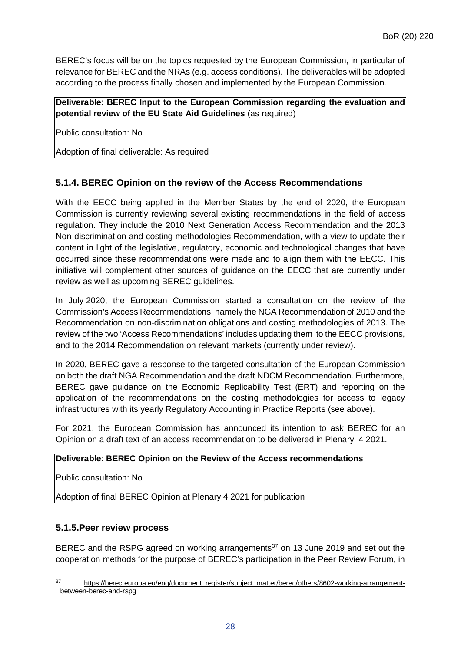BEREC's focus will be on the topics requested by the European Commission, in particular of relevance for BEREC and the NRAs (e.g. access conditions). The deliverables will be adopted according to the process finally chosen and implemented by the European Commission.

**Deliverable**: **BEREC Input to the European Commission regarding the evaluation and potential review of the EU State Aid Guidelines** (as required)

Public consultation: No

Adoption of final deliverable: As required

# <span id="page-27-0"></span>**5.1.4. BEREC Opinion on the review of the Access Recommendations**

With the EECC being applied in the Member States by the end of 2020, the European Commission is currently reviewing several existing recommendations in the field of access regulation. They include the 2010 Next Generation Access Recommendation and the 2013 Non-discrimination and costing methodologies Recommendation, with a view to update their content in light of the legislative, regulatory, economic and technological changes that have occurred since these recommendations were made and to align them with the EECC. This initiative will complement other sources of guidance on the EECC that are currently under review as well as upcoming BEREC guidelines.

In July 2020, the European Commission started a consultation on the review of the Commission's Access Recommendations, namely the NGA Recommendation of 2010 and the Recommendation on non-discrimination obligations and costing methodologies of 2013. The review of the two 'Access Recommendations' includes updating them to the EECC provisions, and to the 2014 Recommendation on relevant markets (currently under review).

In 2020, BEREC gave a response to the targeted consultation of the European Commission on both the draft NGA Recommendation and the draft NDCM Recommendation. Furthermore, BEREC gave guidance on the Economic Replicability Test (ERT) and reporting on the application of the recommendations on the costing methodologies for access to legacy infrastructures with its yearly Regulatory Accounting in Practice Reports (see above).

For 2021, the European Commission has announced its intention to ask BEREC for an Opinion on a draft text of an access recommendation to be delivered in Plenary 4 2021.

#### **Deliverable**: **BEREC Opinion on the Review of the Access recommendations**

Public consultation: No

Adoption of final BEREC Opinion at Plenary 4 2021 for publication

#### <span id="page-27-1"></span>**5.1.5.Peer review process**

BEREC and the RSPG agreed on working arrangements $37$  on 13 June 2019 and set out the cooperation methods for the purpose of BEREC's participation in the Peer Review Forum, in

<span id="page-27-2"></span> $\overline{37}$ <sup>37</sup> [https://berec.europa.eu/eng/document\\_register/subject\\_matter/berec/others/8602-working-arrangement](https://berec.europa.eu/eng/document_register/subject_matter/berec/others/8602-working-arrangement-between-berec-and-rspg)[between-berec-and-rspg](https://berec.europa.eu/eng/document_register/subject_matter/berec/others/8602-working-arrangement-between-berec-and-rspg)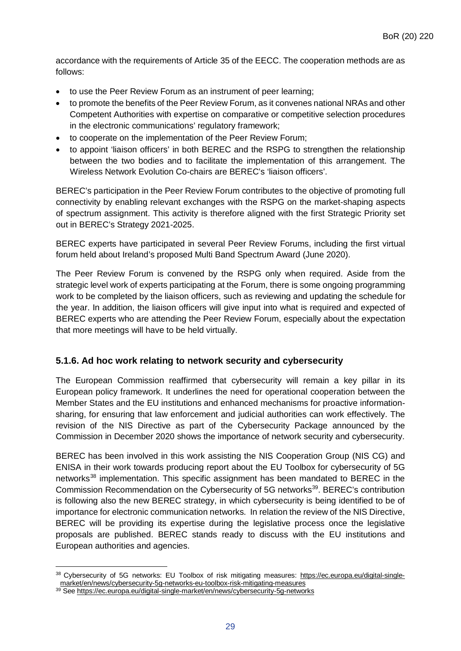accordance with the requirements of Article 35 of the EECC. The cooperation methods are as follows:

- to use the Peer Review Forum as an instrument of peer learning;
- to promote the benefits of the Peer Review Forum, as it convenes national NRAs and other Competent Authorities with expertise on comparative or competitive selection procedures in the electronic communications' regulatory framework;
- to cooperate on the implementation of the Peer Review Forum;
- to appoint 'liaison officers' in both BEREC and the RSPG to strengthen the relationship between the two bodies and to facilitate the implementation of this arrangement. The Wireless Network Evolution Co-chairs are BEREC's 'liaison officers'.

BEREC's participation in the Peer Review Forum contributes to the objective of promoting full connectivity by enabling relevant exchanges with the RSPG on the market-shaping aspects of spectrum assignment. This activity is therefore aligned with the first Strategic Priority set out in BEREC's Strategy 2021-2025.

BEREC experts have participated in several Peer Review Forums, including the first virtual forum held about Ireland's proposed Multi Band Spectrum Award (June 2020).

The Peer Review Forum is convened by the RSPG only when required. Aside from the strategic level work of experts participating at the Forum, there is some ongoing programming work to be completed by the liaison officers, such as reviewing and updating the schedule for the year. In addition, the liaison officers will give input into what is required and expected of BEREC experts who are attending the Peer Review Forum, especially about the expectation that more meetings will have to be held virtually.

#### <span id="page-28-0"></span>**5.1.6. Ad hoc work relating to network security and cybersecurity**

The European Commission reaffirmed that cybersecurity will remain a key pillar in its European policy framework. It underlines the need for operational cooperation between the Member States and the EU institutions and enhanced mechanisms for proactive informationsharing, for ensuring that law enforcement and judicial authorities can work effectively. The revision of the NIS Directive as part of the Cybersecurity Package announced by the Commission in December 2020 shows the importance of network security and cybersecurity.

BEREC has been involved in this work assisting the NIS Cooperation Group (NIS CG) and ENISA in their work towards producing report about the EU Toolbox for cybersecurity of 5G networks<sup>[38](#page-28-1)</sup> implementation. This specific assignment has been mandated to BEREC in the Commission Recommendation on the Cybersecurity of 5G networks<sup>39</sup>. BEREC's contribution is following also the new BEREC strategy, in which cybersecurity is being identified to be of importance for electronic communication networks. In relation the review of the NIS Directive, BEREC will be providing its expertise during the legislative process once the legislative proposals are published. BEREC stands ready to discuss with the EU institutions and European authorities and agencies.

 $\overline{a}$ 

<span id="page-28-1"></span><sup>38</sup> Cybersecurity of 5G networks: EU Toolbox of risk mitigating measures: [https://ec.europa.eu/digital-single](https://ec.europa.eu/digital-single-market/en/news/cybersecurity-5g-networks-eu-toolbox-risk-mitigating-measures)[market/en/news/cybersecurity-5g-networks-eu-toolbox-risk-mitigating-measures](https://ec.europa.eu/digital-single-market/en/news/cybersecurity-5g-networks-eu-toolbox-risk-mitigating-measures)

<span id="page-28-2"></span><sup>39</sup> See <https://ec.europa.eu/digital-single-market/en/news/cybersecurity-5g-networks>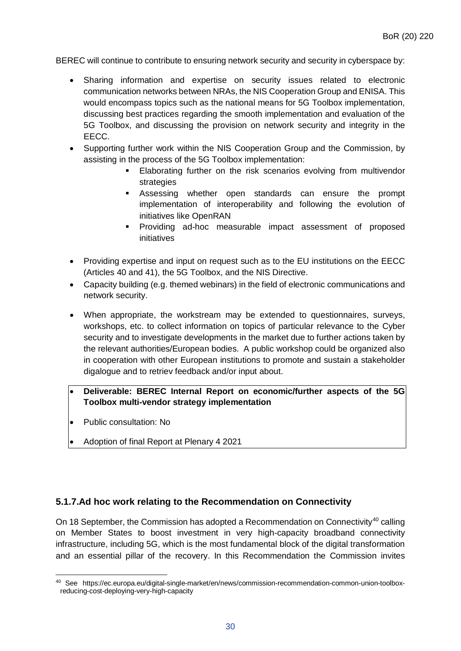BEREC will continue to contribute to ensuring network security and security in cyberspace by:

- Sharing information and expertise on security issues related to electronic communication networks between NRAs, the NIS Cooperation Group and ENISA. This would encompass topics such as the national means for 5G Toolbox implementation, discussing best practices regarding the smooth implementation and evaluation of the 5G Toolbox, and discussing the provision on network security and integrity in the EECC.
- Supporting further work within the NIS Cooperation Group and the Commission, by assisting in the process of the 5G Toolbox implementation:
	- Elaborating further on the risk scenarios evolving from multivendor strategies
	- Assessing whether open standards can ensure the prompt implementation of interoperability and following the evolution of initiatives like OpenRAN
	- Providing ad-hoc measurable impact assessment of proposed initiatives
- Providing expertise and input on request such as to the EU institutions on the EECC (Articles 40 and 41), the 5G Toolbox, and the NIS Directive.
- Capacity building (e.g. themed webinars) in the field of electronic communications and network security.
- When appropriate, the workstream may be extended to questionnaires, surveys, workshops, etc. to collect information on topics of particular relevance to the Cyber security and to investigate developments in the market due to further actions taken by the relevant authorities/European bodies. A public workshop could be organized also in cooperation with other European institutions to promote and sustain a stakeholder digalogue and to retriev feedback and/or input about.
- **Deliverable: BEREC Internal Report on economic/further aspects of the 5G Toolbox multi-vendor strategy implementation**
- Public consultation: No
- Adoption of final Report at Plenary 4 2021

# <span id="page-29-0"></span>**5.1.7.Ad hoc work relating to the Recommendation on Connectivity**

On 18 September, the Commission has adopted a Recommendation on Connectivity<sup>[40](#page-29-1)</sup> calling on Member States to boost investment in very high-capacity broadband connectivity infrastructure, including 5G, which is the most fundamental block of the digital transformation and an essential pillar of the recovery. In this Recommendation the Commission invites

<span id="page-29-1"></span> $\overline{a}$ <sup>40</sup> See https://ec.europa.eu/digital-single-market/en/news/commission-recommendation-common-union-toolboxreducing-cost-deploying-very-high-capacity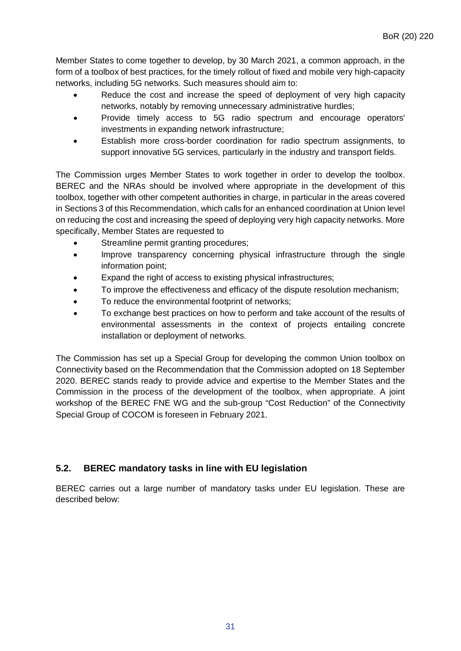Member States to come together to develop, by 30 March 2021, a common approach, in the form of a toolbox of best practices, for the timely rollout of fixed and mobile very high-capacity networks, including 5G networks. Such measures should aim to:

- Reduce the cost and increase the speed of deployment of very high capacity networks, notably by removing unnecessary administrative hurdles;
- Provide timely access to 5G radio spectrum and encourage operators' investments in expanding network infrastructure;
- Establish more cross-border coordination for radio spectrum assignments, to support innovative 5G services, particularly in the industry and transport fields.

The Commission urges Member States to work together in order to develop the toolbox. BEREC and the NRAs should be involved where appropriate in the development of this toolbox, together with other competent authorities in charge, in particular in the areas covered in Sections 3 of this Recommendation, which calls for an enhanced coordination at Union level on reducing the cost and increasing the speed of deploying very high capacity networks. More specifically, Member States are requested to

- Streamline permit granting procedures;
- Improve transparency concerning physical infrastructure through the single information point;
- Expand the right of access to existing physical infrastructures;
- To improve the effectiveness and efficacy of the dispute resolution mechanism;
- To reduce the environmental footprint of networks;
- To exchange best practices on how to perform and take account of the results of environmental assessments in the context of projects entailing concrete installation or deployment of networks.

The Commission has set up a Special Group for developing the common Union toolbox on Connectivity based on the Recommendation that the Commission adopted on 18 September 2020. BEREC stands ready to provide advice and expertise to the Member States and the Commission in the process of the development of the toolbox, when appropriate. A joint workshop of the BEREC FNE WG and the sub-group "Cost Reduction" of the Connectivity Special Group of COCOM is foreseen in February 2021.

# <span id="page-30-0"></span>**5.2. BEREC mandatory tasks in line with EU legislation**

BEREC carries out a large number of mandatory tasks under EU legislation. These are described below: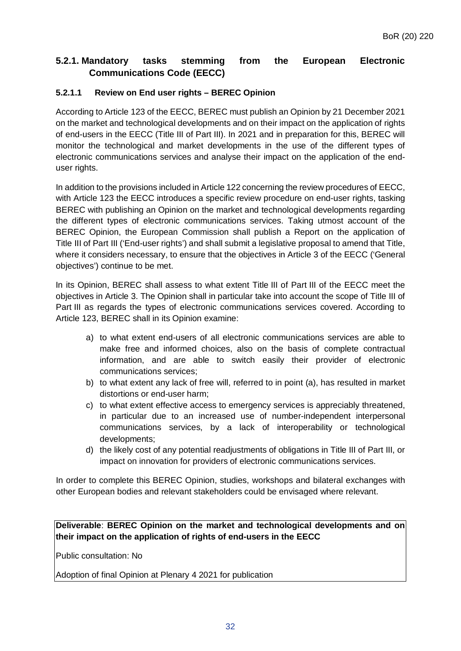# <span id="page-31-0"></span>**5.2.1. Mandatory tasks stemming from the European Electronic Communications Code (EECC)**

#### **5.2.1.1 Review on End user rights – BEREC Opinion**

According to Article 123 of the EECC, BEREC must publish an Opinion by 21 December 2021 on the market and technological developments and on their impact on the application of rights of end-users in the EECC (Title III of Part III). In 2021 and in preparation for this, BEREC will monitor the technological and market developments in the use of the different types of electronic communications services and analyse their impact on the application of the enduser rights.

In addition to the provisions included in Article 122 concerning the review procedures of EECC, with Article 123 the EECC introduces a specific review procedure on end-user rights, tasking BEREC with publishing an Opinion on the market and technological developments regarding the different types of electronic communications services. Taking utmost account of the BEREC Opinion, the European Commission shall publish a Report on the application of Title III of Part III ('End-user rights') and shall submit a legislative proposal to amend that Title, where it considers necessary, to ensure that the objectives in Article 3 of the EECC ('General objectives') continue to be met.

In its Opinion, BEREC shall assess to what extent Title III of Part III of the EECC meet the objectives in Article 3. The Opinion shall in particular take into account the scope of Title III of Part III as regards the types of electronic communications services covered. According to Article 123, BEREC shall in its Opinion examine:

- a) to what extent end-users of all electronic communications services are able to make free and informed choices, also on the basis of complete contractual information, and are able to switch easily their provider of electronic communications services;
- b) to what extent any lack of free will, referred to in point (a), has resulted in market distortions or end-user harm;
- c) to what extent effective access to emergency services is appreciably threatened, in particular due to an increased use of number-independent interpersonal communications services, by a lack of interoperability or technological developments;
- d) the likely cost of any potential readjustments of obligations in Title III of Part III, or impact on innovation for providers of electronic communications services.

In order to complete this BEREC Opinion, studies, workshops and bilateral exchanges with other European bodies and relevant stakeholders could be envisaged where relevant.

#### **Deliverable**: **BEREC Opinion on the market and technological developments and on their impact on the application of rights of end-users in the EECC**

Public consultation: No

Adoption of final Opinion at Plenary 4 2021 for publication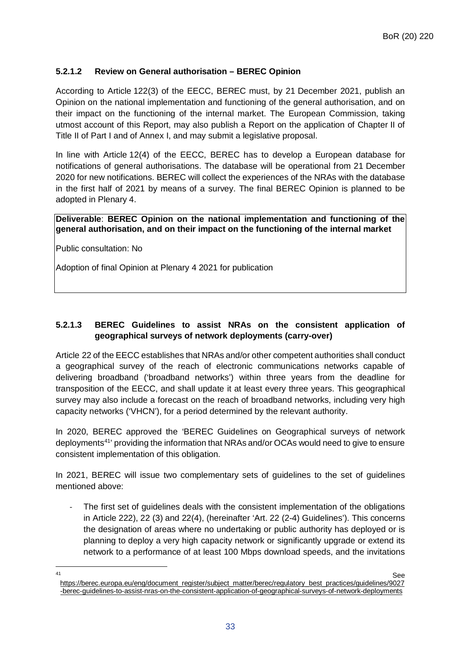#### **5.2.1.2 Review on General authorisation – BEREC Opinion**

According to Article 122(3) of the EECC, BEREC must, by 21 December 2021, publish an Opinion on the national implementation and functioning of the general authorisation, and on their impact on the functioning of the internal market. The European Commission, taking utmost account of this Report, may also publish a Report on the application of Chapter II of Title II of Part I and of Annex I, and may submit a legislative proposal.

In line with Article 12(4) of the EECC, BEREC has to develop a European database for notifications of general authorisations. The database will be operational from 21 December 2020 for new notifications. BEREC will collect the experiences of the NRAs with the database in the first half of 2021 by means of a survey. The final BEREC Opinion is planned to be adopted in Plenary 4.

#### **Deliverable**: **BEREC Opinion on the national implementation and functioning of the general authorisation, and on their impact on the functioning of the internal market**

Public consultation: No

Adoption of final Opinion at Plenary 4 2021 for publication

#### **5.2.1.3 BEREC Guidelines to assist NRAs on the consistent application of geographical surveys of network deployments (carry-over)**

Article 22 of the EECC establishes that NRAs and/or other competent authorities shall conduct a geographical survey of the reach of electronic communications networks capable of delivering broadband ('broadband networks') within three years from the deadline for transposition of the EECC, and shall update it at least every three years. This geographical survey may also include a forecast on the reach of broadband networks, including very high capacity networks ('VHCN'), for a period determined by the relevant authority.

In 2020, BEREC approved the 'BEREC Guidelines on Geographical surveys of network deployments<sup>41</sup> providing the information that NRAs and/or OCAs would need to give to ensure consistent implementation of this obligation.

In 2021, BEREC will issue two complementary sets of guidelines to the set of guidelines mentioned above:

The first set of guidelines deals with the consistent implementation of the obligations in Article 222), 22 (3) and 22(4), (hereinafter 'Art. 22 (2-4) Guidelines'). This concerns the designation of areas where no undertaking or public authority has deployed or is planning to deploy a very high capacity network or significantly upgrade or extend its network to a performance of at least 100 Mbps download speeds, and the invitations

<span id="page-32-0"></span> $\overline{11}$ and the set of the set of the set of the set of the set of the set of the set of the set of the set of the set of the set of the set of the set of the set of the set of the set of the set of the set of the set of the set o [https://berec.europa.eu/eng/document\\_register/subject\\_matter/berec/regulatory\\_best\\_practices/guidelines/9027](https://berec.europa.eu/eng/document_register/subject_matter/berec/regulatory_best_practices/guidelines/9027-berec-guidelines-to-assist-nras-on-the-consistent-application-of-geographical-surveys-of-network-deployments) [-berec-guidelines-to-assist-nras-on-the-consistent-application-of-geographical-surveys-of-network-deployments](https://berec.europa.eu/eng/document_register/subject_matter/berec/regulatory_best_practices/guidelines/9027-berec-guidelines-to-assist-nras-on-the-consistent-application-of-geographical-surveys-of-network-deployments)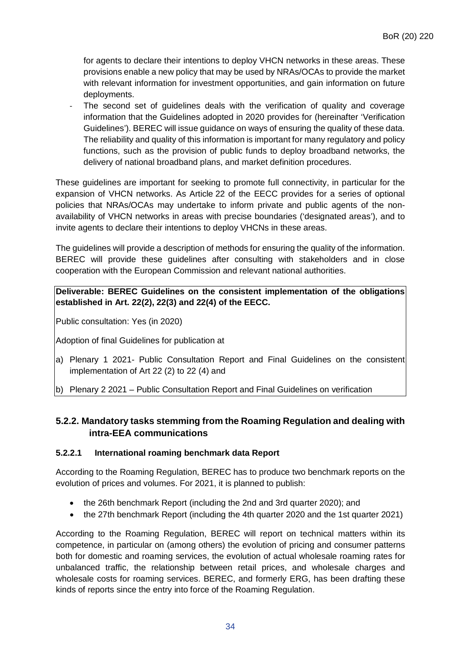for agents to declare their intentions to deploy VHCN networks in these areas. These provisions enable a new policy that may be used by NRAs/OCAs to provide the market with relevant information for investment opportunities, and gain information on future deployments.

The second set of guidelines deals with the verification of quality and coverage information that the Guidelines adopted in 2020 provides for (hereinafter 'Verification Guidelines'). BEREC will issue guidance on ways of ensuring the quality of these data. The reliability and quality of this information is important for many regulatory and policy functions, such as the provision of public funds to deploy broadband networks, the delivery of national broadband plans, and market definition procedures.

These guidelines are important for seeking to promote full connectivity, in particular for the expansion of VHCN networks. As Article 22 of the EECC provides for a series of optional policies that NRAs/OCAs may undertake to inform private and public agents of the nonavailability of VHCN networks in areas with precise boundaries ('designated areas'), and to invite agents to declare their intentions to deploy VHCNs in these areas.

The guidelines will provide a description of methods for ensuring the quality of the information. BEREC will provide these guidelines after consulting with stakeholders and in close cooperation with the European Commission and relevant national authorities.

#### **Deliverable: BEREC Guidelines on the consistent implementation of the obligations established in Art. 22(2), 22(3) and 22(4) of the EECC.**

Public consultation: Yes (in 2020)

Adoption of final Guidelines for publication at

- a) Plenary 1 2021- Public Consultation Report and Final Guidelines on the consistent implementation of Art 22 (2) to 22 (4) and
- b) Plenary 2 2021 Public Consultation Report and Final Guidelines on verification

# <span id="page-33-0"></span>**5.2.2. Mandatory tasks stemming from the Roaming Regulation and dealing with intra-EEA communications**

#### **5.2.2.1 International roaming benchmark data Report**

According to the Roaming Regulation, BEREC has to produce two benchmark reports on the evolution of prices and volumes. For 2021, it is planned to publish:

- the 26th benchmark Report (including the 2nd and 3rd quarter 2020); and
- the 27th benchmark Report (including the 4th quarter 2020 and the 1st quarter 2021)

According to the Roaming Regulation, BEREC will report on technical matters within its competence, in particular on (among others) the evolution of pricing and consumer patterns both for domestic and roaming services, the evolution of actual wholesale roaming rates for unbalanced traffic, the relationship between retail prices, and wholesale charges and wholesale costs for roaming services. BEREC, and formerly ERG, has been drafting these kinds of reports since the entry into force of the Roaming Regulation.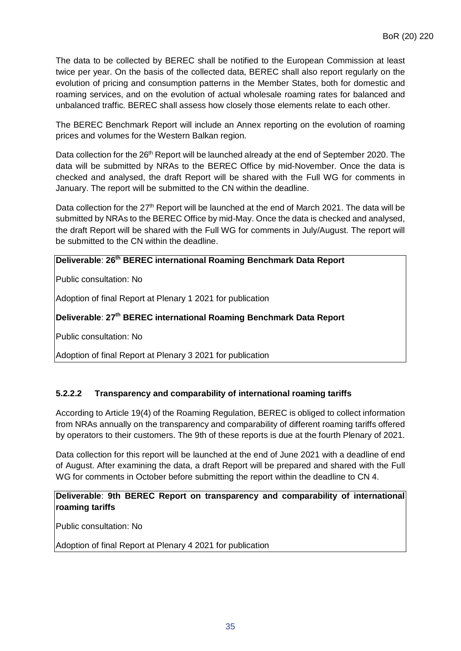The data to be collected by BEREC shall be notified to the European Commission at least twice per year. On the basis of the collected data, BEREC shall also report regularly on the evolution of pricing and consumption patterns in the Member States, both for domestic and roaming services, and on the evolution of actual wholesale roaming rates for balanced and unbalanced traffic. BEREC shall assess how closely those elements relate to each other.

The BEREC Benchmark Report will include an Annex reporting on the evolution of roaming prices and volumes for the Western Balkan region.

Data collection for the  $26<sup>th</sup>$  Report will be launched already at the end of September 2020. The data will be submitted by NRAs to the BEREC Office by mid-November. Once the data is checked and analysed, the draft Report will be shared with the Full WG for comments in January. The report will be submitted to the CN within the deadline.

Data collection for the 27<sup>th</sup> Report will be launched at the end of March 2021. The data will be submitted by NRAs to the BEREC Office by mid-May. Once the data is checked and analysed, the draft Report will be shared with the Full WG for comments in July/August. The report will be submitted to the CN within the deadline.

#### **Deliverable**: **26th BEREC international Roaming Benchmark Data Report**

Public consultation: No

Adoption of final Report at Plenary 1 2021 for publication

**Deliverable**: **27th BEREC international Roaming Benchmark Data Report**

Public consultation: No

Adoption of final Report at Plenary 3 2021 for publication

#### **5.2.2.2 Transparency and comparability of international roaming tariffs**

According to Article 19(4) of the Roaming Regulation, BEREC is obliged to collect information from NRAs annually on the transparency and comparability of different roaming tariffs offered by operators to their customers. The 9th of these reports is due at the fourth Plenary of 2021.

Data collection for this report will be launched at the end of June 2021 with a deadline of end of August. After examining the data, a draft Report will be prepared and shared with the Full WG for comments in October before submitting the report within the deadline to CN 4.

#### **Deliverable**: **9th BEREC Report on transparency and comparability of international roaming tariffs**

Public consultation: No

Adoption of final Report at Plenary 4 2021 for publication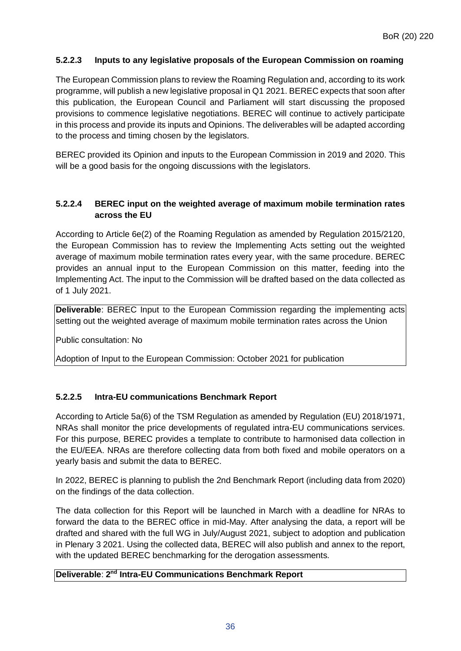#### **5.2.2.3 Inputs to any legislative proposals of the European Commission on roaming**

The European Commission plans to review the Roaming Regulation and, according to its work programme, will publish a new legislative proposal in Q1 2021. BEREC expects that soon after this publication, the European Council and Parliament will start discussing the proposed provisions to commence legislative negotiations. BEREC will continue to actively participate in this process and provide its inputs and Opinions. The deliverables will be adapted according to the process and timing chosen by the legislators.

BEREC provided its Opinion and inputs to the European Commission in 2019 and 2020. This will be a good basis for the ongoing discussions with the legislators.

#### **5.2.2.4 BEREC input on the weighted average of maximum mobile termination rates across the EU**

According to Article 6e(2) of the Roaming Regulation as amended by Regulation 2015/2120, the European Commission has to review the Implementing Acts setting out the weighted average of maximum mobile termination rates every year, with the same procedure. BEREC provides an annual input to the European Commission on this matter, feeding into the Implementing Act. The input to the Commission will be drafted based on the data collected as of 1 July 2021.

**Deliverable:** BEREC Input to the European Commission regarding the implementing acts setting out the weighted average of maximum mobile termination rates across the Union

Public consultation: No

Adoption of Input to the European Commission: October 2021 for publication

#### **5.2.2.5 Intra-EU communications Benchmark Report**

According to Article 5a(6) of the TSM Regulation as amended by Regulation (EU) 2018/1971, NRAs shall monitor the price developments of regulated intra-EU communications services. For this purpose, BEREC provides a template to contribute to harmonised data collection in the EU/EEA. NRAs are therefore collecting data from both fixed and mobile operators on a yearly basis and submit the data to BEREC.

In 2022, BEREC is planning to publish the 2nd Benchmark Report (including data from 2020) on the findings of the data collection.

The data collection for this Report will be launched in March with a deadline for NRAs to forward the data to the BEREC office in mid-May. After analysing the data, a report will be drafted and shared with the full WG in July/August 2021, subject to adoption and publication in Plenary 3 2021. Using the collected data, BEREC will also publish and annex to the report, with the updated BEREC benchmarking for the derogation assessments.

#### **Deliverable**: **2nd Intra-EU Communications Benchmark Report**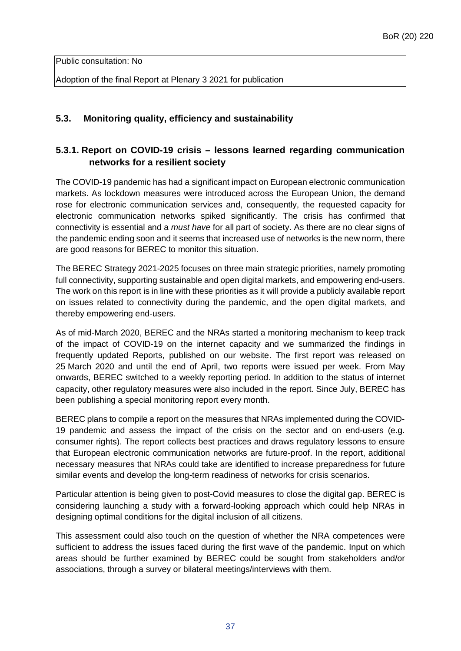Public consultation: No

Adoption of the final Report at Plenary 3 2021 for publication

### <span id="page-36-0"></span>**5.3. Monitoring quality, efficiency and sustainability**

# <span id="page-36-1"></span>**5.3.1. Report on COVID-19 crisis – lessons learned regarding communication networks for a resilient society**

The COVID-19 pandemic has had a significant impact on European electronic communication markets. As lockdown measures were introduced across the European Union, the demand rose for electronic communication services and, consequently, the requested capacity for electronic communication networks spiked significantly. The crisis has confirmed that connectivity is essential and a *must have* for all part of society. As there are no clear signs of the pandemic ending soon and it seems that increased use of networks is the new norm, there are good reasons for BEREC to monitor this situation.

The BEREC Strategy 2021-2025 focuses on three main strategic priorities, namely promoting full connectivity, supporting sustainable and open digital markets, and empowering end-users. The work on this report is in line with these priorities as it will provide a publicly available report on issues related to connectivity during the pandemic, and the open digital markets, and thereby empowering end-users.

As of mid-March 2020, BEREC and the NRAs started a monitoring mechanism to keep track of the impact of COVID-19 on the internet capacity and we summarized the findings in frequently updated Reports, published on our website. The first report was released on 25 March 2020 and until the end of April, two reports were issued per week. From May onwards, BEREC switched to a weekly reporting period. In addition to the status of internet capacity, other regulatory measures were also included in the report. Since July, BEREC has been publishing a special monitoring report every month.

BEREC plans to compile a report on the measures that NRAs implemented during the COVID-19 pandemic and assess the impact of the crisis on the sector and on end-users (e.g. consumer rights). The report collects best practices and draws regulatory lessons to ensure that European electronic communication networks are future-proof. In the report, additional necessary measures that NRAs could take are identified to increase preparedness for future similar events and develop the long-term readiness of networks for crisis scenarios.

Particular attention is being given to post-Covid measures to close the digital gap. BEREC is considering launching a study with a forward-looking approach which could help NRAs in designing optimal conditions for the digital inclusion of all citizens.

This assessment could also touch on the question of whether the NRA competences were sufficient to address the issues faced during the first wave of the pandemic. Input on which areas should be further examined by BEREC could be sought from stakeholders and/or associations, through a survey or bilateral meetings/interviews with them.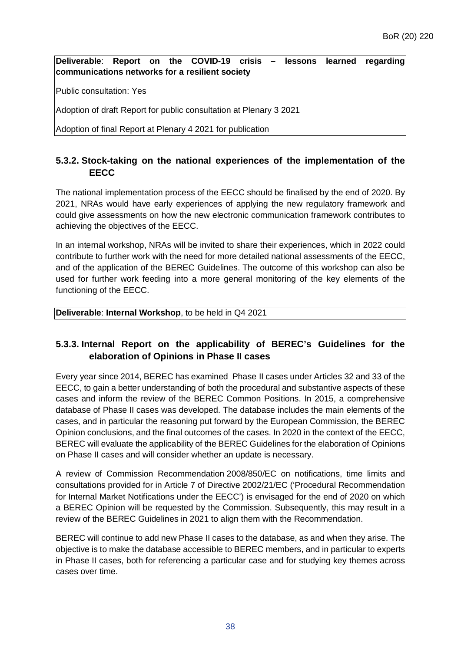**Deliverable**: **Report on the COVID-19 crisis – lessons learned regarding communications networks for a resilient society**

Public consultation: Yes

Adoption of draft Report for public consultation at Plenary 3 2021

Adoption of final Report at Plenary 4 2021 for publication

# <span id="page-37-0"></span>**5.3.2. Stock-taking on the national experiences of the implementation of the EECC**

The national implementation process of the EECC should be finalised by the end of 2020. By 2021, NRAs would have early experiences of applying the new regulatory framework and could give assessments on how the new electronic communication framework contributes to achieving the objectives of the EECC.

In an internal workshop, NRAs will be invited to share their experiences, which in 2022 could contribute to further work with the need for more detailed national assessments of the EECC, and of the application of the BEREC Guidelines. The outcome of this workshop can also be used for further work feeding into a more general monitoring of the key elements of the functioning of the EECC.

#### **Deliverable**: **Internal Workshop**, to be held in Q4 2021

# <span id="page-37-1"></span>**5.3.3. Internal Report on the applicability of BEREC's Guidelines for the elaboration of Opinions in Phase II cases**

Every year since 2014, BEREC has examined Phase II cases under Articles 32 and 33 of the EECC, to gain a better understanding of both the procedural and substantive aspects of these cases and inform the review of the BEREC Common Positions. In 2015, a comprehensive database of Phase II cases was developed. The database includes the main elements of the cases, and in particular the reasoning put forward by the European Commission, the BEREC Opinion conclusions, and the final outcomes of the cases. In 2020 in the context of the EECC, BEREC will evaluate the applicability of the BEREC Guidelines for the elaboration of Opinions on Phase II cases and will consider whether an update is necessary.

A review of Commission Recommendation 2008/850/EC on notifications, time limits and consultations provided for in Article 7 of Directive 2002/21/EC ('Procedural Recommendation for Internal Market Notifications under the EECC') is envisaged for the end of 2020 on which a BEREC Opinion will be requested by the Commission. Subsequently, this may result in a review of the BEREC Guidelines in 2021 to align them with the Recommendation.

BEREC will continue to add new Phase II cases to the database, as and when they arise. The objective is to make the database accessible to BEREC members, and in particular to experts in Phase II cases, both for referencing a particular case and for studying key themes across cases over time.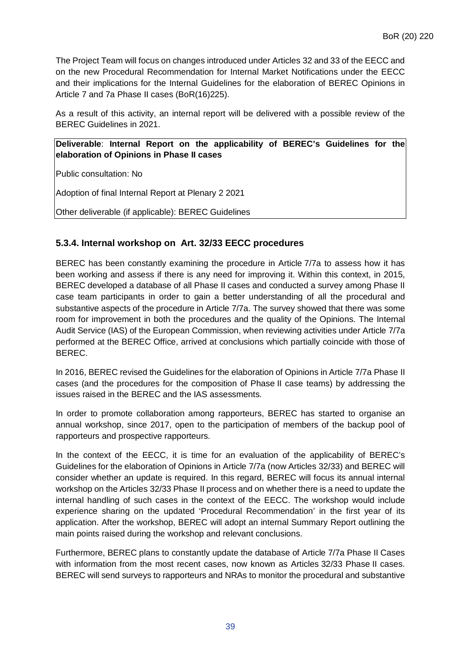The Project Team will focus on changes introduced under Articles 32 and 33 of the EECC and on the new Procedural Recommendation for Internal Market Notifications under the EECC and their implications for the Internal Guidelines for the elaboration of BEREC Opinions in Article 7 and 7a Phase II cases (BoR(16)225).

As a result of this activity, an internal report will be delivered with a possible review of the BEREC Guidelines in 2021.

**Deliverable**: **Internal Report on the applicability of BEREC's Guidelines for the elaboration of Opinions in Phase II cases**

Public consultation: No

Adoption of final Internal Report at Plenary 2 2021

Other deliverable (if applicable): BEREC Guidelines

#### <span id="page-38-0"></span>**5.3.4. Internal workshop on Art. 32/33 EECC procedures**

BEREC has been constantly examining the procedure in Article 7/7a to assess how it has been working and assess if there is any need for improving it. Within this context, in 2015, BEREC developed a database of all Phase II cases and conducted a survey among Phase II case team participants in order to gain a better understanding of all the procedural and substantive aspects of the procedure in Article 7/7a. The survey showed that there was some room for improvement in both the procedures and the quality of the Opinions. The Internal Audit Service (IAS) of the European Commission, when reviewing activities under Article 7/7a performed at the BEREC Office, arrived at conclusions which partially coincide with those of BEREC.

In 2016, BEREC revised the Guidelines for the elaboration of Opinions in Article 7/7a Phase II cases (and the procedures for the composition of Phase II case teams) by addressing the issues raised in the BEREC and the IAS assessments.

In order to promote collaboration among rapporteurs, BEREC has started to organise an annual workshop, since 2017, open to the participation of members of the backup pool of rapporteurs and prospective rapporteurs.

In the context of the EECC, it is time for an evaluation of the applicability of BEREC's Guidelines for the elaboration of Opinions in Article 7/7a (now Articles 32/33) and BEREC will consider whether an update is required. In this regard, BEREC will focus its annual internal workshop on the Articles 32/33 Phase II process and on whether there is a need to update the internal handling of such cases in the context of the EECC. The workshop would include experience sharing on the updated 'Procedural Recommendation' in the first year of its application. After the workshop, BEREC will adopt an internal Summary Report outlining the main points raised during the workshop and relevant conclusions.

Furthermore, BEREC plans to constantly update the database of Article 7/7a Phase II Cases with information from the most recent cases, now known as Articles 32/33 Phase II cases. BEREC will send surveys to rapporteurs and NRAs to monitor the procedural and substantive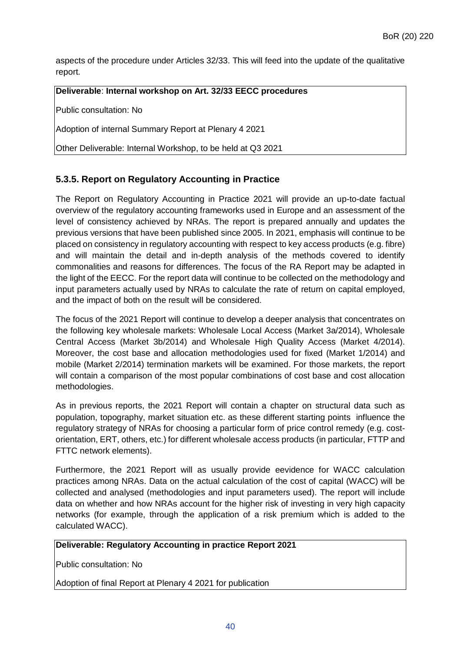aspects of the procedure under Articles 32/33. This will feed into the update of the qualitative report.

#### **Deliverable**: **Internal workshop on Art. 32/33 EECC procedures**

Public consultation: No

Adoption of internal Summary Report at Plenary 4 2021

Other Deliverable: Internal Workshop, to be held at Q3 2021

### <span id="page-39-0"></span>**5.3.5. Report on Regulatory Accounting in Practice**

The Report on Regulatory Accounting in Practice 2021 will provide an up-to-date factual overview of the regulatory accounting frameworks used in Europe and an assessment of the level of consistency achieved by NRAs. The report is prepared annually and updates the previous versions that have been published since 2005. In 2021, emphasis will continue to be placed on consistency in regulatory accounting with respect to key access products (e.g. fibre) and will maintain the detail and in-depth analysis of the methods covered to identify commonalities and reasons for differences. The focus of the RA Report may be adapted in the light of the EECC. For the report data will continue to be collected on the methodology and input parameters actually used by NRAs to calculate the rate of return on capital employed, and the impact of both on the result will be considered.

The focus of the 2021 Report will continue to develop a deeper analysis that concentrates on the following key wholesale markets: Wholesale Local Access (Market 3a/2014), Wholesale Central Access (Market 3b/2014) and Wholesale High Quality Access (Market 4/2014). Moreover, the cost base and allocation methodologies used for fixed (Market 1/2014) and mobile (Market 2/2014) termination markets will be examined. For those markets, the report will contain a comparison of the most popular combinations of cost base and cost allocation methodologies.

As in previous reports, the 2021 Report will contain a chapter on structural data such as population, topography, market situation etc. as these different starting points influence the regulatory strategy of NRAs for choosing a particular form of price control remedy (e.g. costorientation, ERT, others, etc.) for different wholesale access products (in particular, FTTP and FTTC network elements).

Furthermore, the 2021 Report will as usually provide eevidence for WACC calculation practices among NRAs. Data on the actual calculation of the cost of capital (WACC) will be collected and analysed (methodologies and input parameters used). The report will include data on whether and how NRAs account for the higher risk of investing in very high capacity networks (for example, through the application of a risk premium which is added to the calculated WACC).

#### **Deliverable: Regulatory Accounting in practice Report 2021**

Public consultation: No

Adoption of final Report at Plenary 4 2021 for publication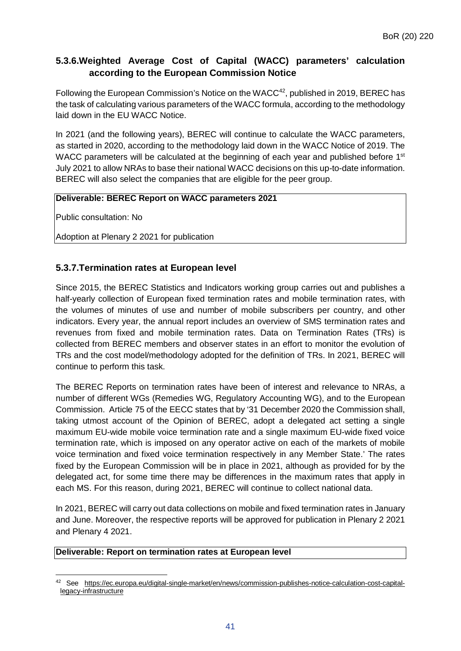# <span id="page-40-0"></span>**5.3.6.Weighted Average Cost of Capital (WACC) parameters' calculation according to the European Commission Notice**

Following the European Commission's Notice on the WACC<sup>[42](#page-40-2)</sup>, published in 2019, BEREC has the task of calculating various parameters of the WACC formula, according to the methodology laid down in the EU WACC Notice.

In 2021 (and the following years), BEREC will continue to calculate the WACC parameters, as started in 2020, according to the methodology laid down in the WACC Notice of 2019. The WACC parameters will be calculated at the beginning of each year and published before 1<sup>st</sup> July 2021 to allow NRAs to base their national WACC decisions on this up-to-date information. BEREC will also select the companies that are eligible for the peer group.

#### **Deliverable: BEREC Report on WACC parameters 2021**

Public consultation: No

Adoption at Plenary 2 2021 for publication

# <span id="page-40-1"></span>**5.3.7.Termination rates at European level**

Since 2015, the BEREC Statistics and Indicators working group carries out and publishes a half-yearly collection of European fixed termination rates and mobile termination rates, with the volumes of minutes of use and number of mobile subscribers per country, and other indicators. Every year, the annual report includes an overview of SMS termination rates and revenues from fixed and mobile termination rates. Data on Termination Rates (TRs) is collected from BEREC members and observer states in an effort to monitor the evolution of TRs and the cost model/methodology adopted for the definition of TRs. In 2021, BEREC will continue to perform this task.

The BEREC Reports on termination rates have been of interest and relevance to NRAs, a number of different WGs (Remedies WG, Regulatory Accounting WG), and to the European Commission. Article 75 of the EECC states that by '31 December 2020 the Commission shall, taking utmost account of the Opinion of BEREC, adopt a delegated act setting a single maximum EU-wide mobile voice termination rate and a single maximum EU-wide fixed voice termination rate, which is imposed on any operator active on each of the markets of mobile voice termination and fixed voice termination respectively in any Member State.' The rates fixed by the European Commission will be in place in 2021, although as provided for by the delegated act, for some time there may be differences in the maximum rates that apply in each MS. For this reason, during 2021, BEREC will continue to collect national data.

In 2021, BEREC will carry out data collections on mobile and fixed termination rates in January and June. Moreover, the respective reports will be approved for publication in Plenary 2 2021 and Plenary 4 2021.

#### **Deliverable: Report on termination rates at European level**

<span id="page-40-2"></span> $\overline{a}$ <sup>42</sup> See [https://ec.europa.eu/digital-single-market/en/news/commission-publishes-notice-calculation-cost-capital](https://ec.europa.eu/digital-single-market/en/news/commission-publishes-notice-calculation-cost-capital-legacy-infrastructure)[legacy-infrastructure](https://ec.europa.eu/digital-single-market/en/news/commission-publishes-notice-calculation-cost-capital-legacy-infrastructure)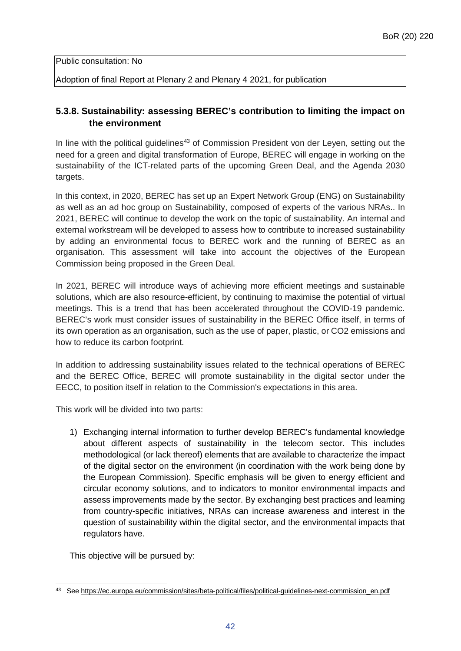Public consultation: No

Adoption of final Report at Plenary 2 and Plenary 4 2021, for publication

### <span id="page-41-0"></span>**5.3.8. Sustainability: assessing BEREC's contribution to limiting the impact on the environment**

In line with the political guidelines<sup>[43](#page-41-1)</sup> of Commission President von der Leyen, setting out the need for a green and digital transformation of Europe, BEREC will engage in working on the sustainability of the ICT-related parts of the upcoming Green Deal, and the Agenda 2030 targets.

In this context, in 2020, BEREC has set up an Expert Network Group (ENG) on Sustainability as well as an ad hoc group on Sustainability, composed of experts of the various NRAs.. In 2021, BEREC will continue to develop the work on the topic of sustainability. An internal and external workstream will be developed to assess how to contribute to increased sustainability by adding an environmental focus to BEREC work and the running of BEREC as an organisation. This assessment will take into account the objectives of the European Commission being proposed in the Green Deal.

In 2021, BEREC will introduce ways of achieving more efficient meetings and sustainable solutions, which are also resource-efficient, by continuing to maximise the potential of virtual meetings. This is a trend that has been accelerated throughout the COVID-19 pandemic. BEREC's work must consider issues of sustainability in the BEREC Office itself, in terms of its own operation as an organisation, such as the use of paper, plastic, or CO2 emissions and how to reduce its carbon footprint.

In addition to addressing sustainability issues related to the technical operations of BEREC and the BEREC Office, BEREC will promote sustainability in the digital sector under the EECC, to position itself in relation to the Commission's expectations in this area.

This work will be divided into two parts:

1) Exchanging internal information to further develop BEREC's fundamental knowledge about different aspects of sustainability in the telecom sector. This includes methodological (or lack thereof) elements that are available to characterize the impact of the digital sector on the environment (in coordination with the work being done by the European Commission). Specific emphasis will be given to energy efficient and circular economy solutions, and to indicators to monitor environmental impacts and assess improvements made by the sector. By exchanging best practices and learning from country-specific initiatives, NRAs can increase awareness and interest in the question of sustainability within the digital sector, and the environmental impacts that regulators have.

This objective will be pursued by:

<span id="page-41-1"></span> $\overline{a}$ <sup>43</sup> See [https://ec.europa.eu/commission/sites/beta-political/files/political-guidelines-next-commission\\_en.pdf](https://ec.europa.eu/commission/sites/beta-political/files/political-guidelines-next-commission_en.pdf)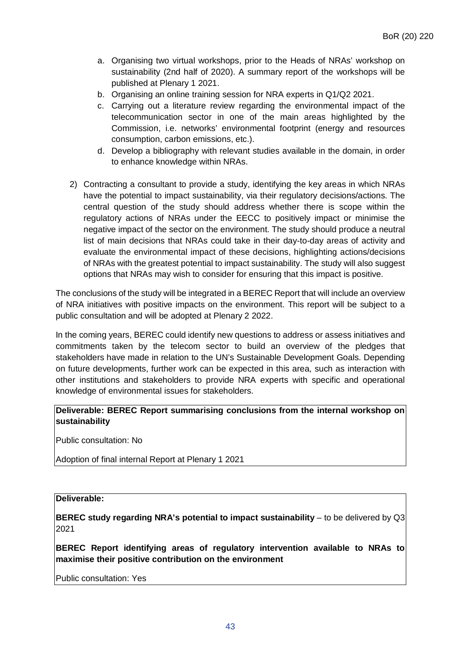- a. Organising two virtual workshops, prior to the Heads of NRAs' workshop on sustainability (2nd half of 2020). A summary report of the workshops will be published at Plenary 1 2021.
- b. Organising an online training session for NRA experts in Q1/Q2 2021.
- c. Carrying out a literature review regarding the environmental impact of the telecommunication sector in one of the main areas highlighted by the Commission, i.e. networks' environmental footprint (energy and resources consumption, carbon emissions, etc.).
- d. Develop a bibliography with relevant studies available in the domain, in order to enhance knowledge within NRAs.
- 2) Contracting a consultant to provide a study, identifying the key areas in which NRAs have the potential to impact sustainability, via their regulatory decisions/actions. The central question of the study should address whether there is scope within the regulatory actions of NRAs under the EECC to positively impact or minimise the negative impact of the sector on the environment. The study should produce a neutral list of main decisions that NRAs could take in their day-to-day areas of activity and evaluate the environmental impact of these decisions, highlighting actions/decisions of NRAs with the greatest potential to impact sustainability. The study will also suggest options that NRAs may wish to consider for ensuring that this impact is positive.

The conclusions of the study will be integrated in a BEREC Report that will include an overview of NRA initiatives with positive impacts on the environment. This report will be subject to a public consultation and will be adopted at Plenary 2 2022.

In the coming years, BEREC could identify new questions to address or assess initiatives and commitments taken by the telecom sector to build an overview of the pledges that stakeholders have made in relation to the UN's Sustainable Development Goals. Depending on future developments, further work can be expected in this area, such as interaction with other institutions and stakeholders to provide NRA experts with specific and operational knowledge of environmental issues for stakeholders.

**Deliverable: BEREC Report summarising conclusions from the internal workshop on sustainability**

Public consultation: No

Adoption of final internal Report at Plenary 1 2021

#### **Deliverable:**

**BEREC study regarding NRA's potential to impact sustainability** – to be delivered by Q3 2021

**BEREC Report identifying areas of regulatory intervention available to NRAs to maximise their positive contribution on the environment**

Public consultation: Yes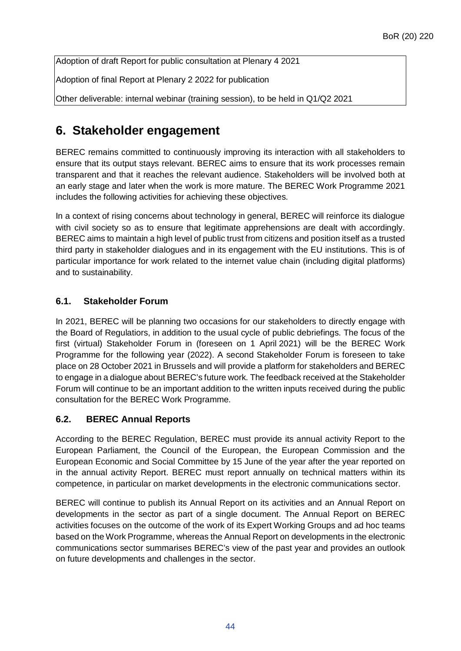Adoption of draft Report for public consultation at Plenary 4 2021

Adoption of final Report at Plenary 2 2022 for publication

Other deliverable: internal webinar (training session), to be held in Q1/Q2 2021

# <span id="page-43-0"></span>**6. Stakeholder engagement**

BEREC remains committed to continuously improving its interaction with all stakeholders to ensure that its output stays relevant. BEREC aims to ensure that its work processes remain transparent and that it reaches the relevant audience. Stakeholders will be involved both at an early stage and later when the work is more mature. The BEREC Work Programme 2021 includes the following activities for achieving these objectives.

In a context of rising concerns about technology in general, BEREC will reinforce its dialogue with civil society so as to ensure that legitimate apprehensions are dealt with accordingly. BEREC aims to maintain a high level of public trust from citizens and position itself as a trusted third party in stakeholder dialogues and in its engagement with the EU institutions. This is of particular importance for work related to the internet value chain (including digital platforms) and to sustainability.

# <span id="page-43-1"></span>**6.1. Stakeholder Forum**

In 2021, BEREC will be planning two occasions for our stakeholders to directly engage with the Board of Regulatiors, in addition to the usual cycle of public debriefings. The focus of the first (virtual) Stakeholder Forum in (foreseen on 1 April 2021) will be the BEREC Work Programme for the following year (2022). A second Stakeholder Forum is foreseen to take place on 28 October 2021 in Brussels and will provide a platform for stakeholders and BEREC to engage in a dialogue about BEREC's future work. The feedback received at the Stakeholder Forum will continue to be an important addition to the written inputs received during the public consultation for the BEREC Work Programme.

# <span id="page-43-2"></span>**6.2. BEREC Annual Reports**

According to the BEREC Regulation, BEREC must provide its annual activity Report to the European Parliament, the Council of the European, the European Commission and the European Economic and Social Committee by 15 June of the year after the year reported on in the annual activity Report. BEREC must report annually on technical matters within its competence, in particular on market developments in the electronic communications sector.

BEREC will continue to publish its Annual Report on its activities and an Annual Report on developments in the sector as part of a single document. The Annual Report on BEREC activities focuses on the outcome of the work of its Expert Working Groups and ad hoc teams based on the Work Programme, whereas the Annual Report on developments in the electronic communications sector summarises BEREC's view of the past year and provides an outlook on future developments and challenges in the sector.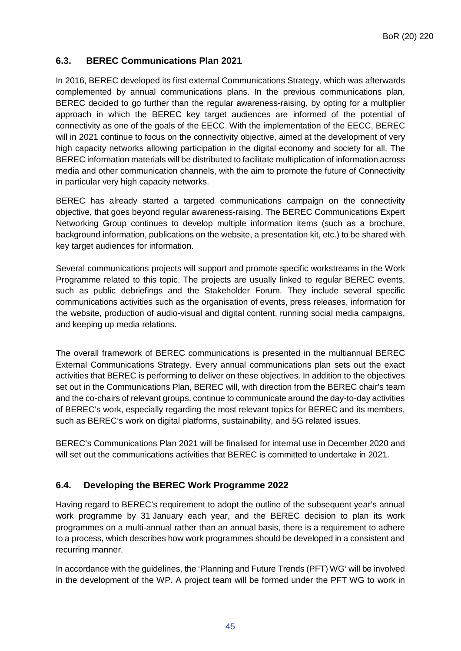#### <span id="page-44-0"></span>**6.3. BEREC Communications Plan 2021**

In 2016, BEREC developed its first external Communications Strategy, which was afterwards complemented by annual communications plans. In the previous communications plan, BEREC decided to go further than the regular awareness-raising, by opting for a multiplier approach in which the BEREC key target audiences are informed of the potential of connectivity as one of the goals of the EECC. With the implementation of the EECC, BEREC will in 2021 continue to focus on the connectivity objective, aimed at the development of very high capacity networks allowing participation in the digital economy and society for all. The BEREC information materials will be distributed to facilitate multiplication of information across media and other communication channels, with the aim to promote the future of Connectivity in particular very high capacity networks.

BEREC has already started a targeted communications campaign on the connectivity objective, that goes beyond regular awareness-raising. The BEREC Communications Expert Networking Group continues to develop multiple information items (such as a brochure, background information, publications on the website, a presentation kit, etc.) to be shared with key target audiences for information.

Several communications projects will support and promote specific workstreams in the Work Programme related to this topic. The projects are usually linked to regular BEREC events, such as public debriefings and the Stakeholder Forum. They include several specific communications activities such as the organisation of events, press releases, information for the website, production of audio-visual and digital content, running social media campaigns, and keeping up media relations.

The overall framework of BEREC communications is presented in the multiannual BEREC External Communications Strategy. Every annual communications plan sets out the exact activities that BEREC is performing to deliver on these objectives. In addition to the objectives set out in the Communications Plan, BEREC will, with direction from the BEREC chair's team and the co-chairs of relevant groups, continue to communicate around the day-to-day activities of BEREC's work, especially regarding the most relevant topics for BEREC and its members, such as BEREC's work on digital platforms, sustainability, and 5G related issues.

BEREC's Communications Plan 2021 will be finalised for internal use in December 2020 and will set out the communications activities that BEREC is committed to undertake in 2021.

# <span id="page-44-1"></span>**6.4. Developing the BEREC Work Programme 2022**

Having regard to BEREC's requirement to adopt the outline of the subsequent year's annual work programme by 31 January each year, and the BEREC decision to plan its work programmes on a multi-annual rather than an annual basis, there is a requirement to adhere to a process, which describes how work programmes should be developed in a consistent and recurring manner.

In accordance with the guidelines, the 'Planning and Future Trends (PFT) WG' will be involved in the development of the WP. A project team will be formed under the PFT WG to work in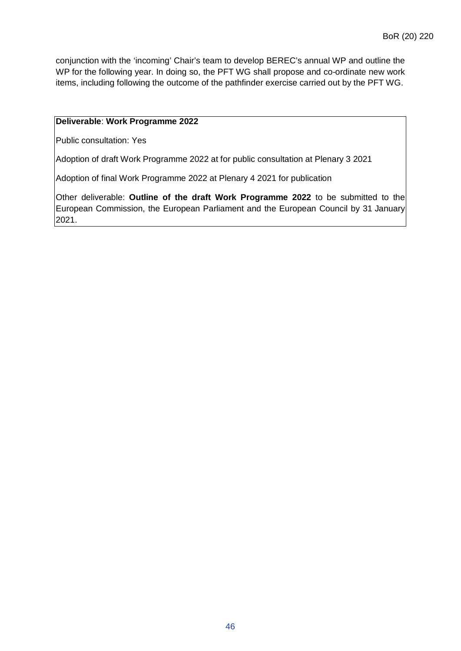conjunction with the 'incoming' Chair's team to develop BEREC's annual WP and outline the WP for the following year. In doing so, the PFT WG shall propose and co-ordinate new work items, including following the outcome of the pathfinder exercise carried out by the PFT WG.

#### **Deliverable**: **Work Programme 2022**

Public consultation: Yes

Adoption of draft Work Programme 2022 at for public consultation at Plenary 3 2021

Adoption of final Work Programme 2022 at Plenary 4 2021 for publication

Other deliverable: **Outline of the draft Work Programme 2022** to be submitted to the European Commission, the European Parliament and the European Council by 31 January 2021.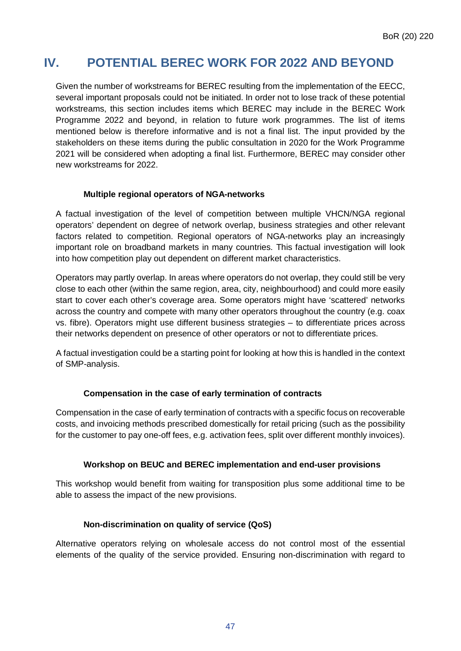# <span id="page-46-0"></span>**IV. POTENTIAL BEREC WORK FOR 2022 AND BEYOND**

Given the number of workstreams for BEREC resulting from the implementation of the EECC, several important proposals could not be initiated. In order not to lose track of these potential workstreams, this section includes items which BEREC may include in the BEREC Work Programme 2022 and beyond, in relation to future work programmes. The list of items mentioned below is therefore informative and is not a final list. The input provided by the stakeholders on these items during the public consultation in 2020 for the Work Programme 2021 will be considered when adopting a final list. Furthermore, BEREC may consider other new workstreams for 2022.

#### **Multiple regional operators of NGA-networks**

A factual investigation of the level of competition between multiple VHCN/NGA regional operators' dependent on degree of network overlap, business strategies and other relevant factors related to competition. Regional operators of NGA-networks play an increasingly important role on broadband markets in many countries. This factual investigation will look into how competition play out dependent on different market characteristics.

Operators may partly overlap. In areas where operators do not overlap, they could still be very close to each other (within the same region, area, city, neighbourhood) and could more easily start to cover each other's coverage area. Some operators might have 'scattered' networks across the country and compete with many other operators throughout the country (e.g. coax vs. fibre). Operators might use different business strategies – to differentiate prices across their networks dependent on presence of other operators or not to differentiate prices.

A factual investigation could be a starting point for looking at how this is handled in the context of SMP-analysis.

#### **Compensation in the case of early termination of contracts**

Compensation in the case of early termination of contracts with a specific focus on recoverable costs, and invoicing methods prescribed domestically for retail pricing (such as the possibility for the customer to pay one-off fees, e.g. activation fees, split over different monthly invoices).

#### **Workshop on BEUC and BEREC implementation and end-user provisions**

This workshop would benefit from waiting for transposition plus some additional time to be able to assess the impact of the new provisions.

#### **Non-discrimination on quality of service (QoS)**

Alternative operators relying on wholesale access do not control most of the essential elements of the quality of the service provided. Ensuring non-discrimination with regard to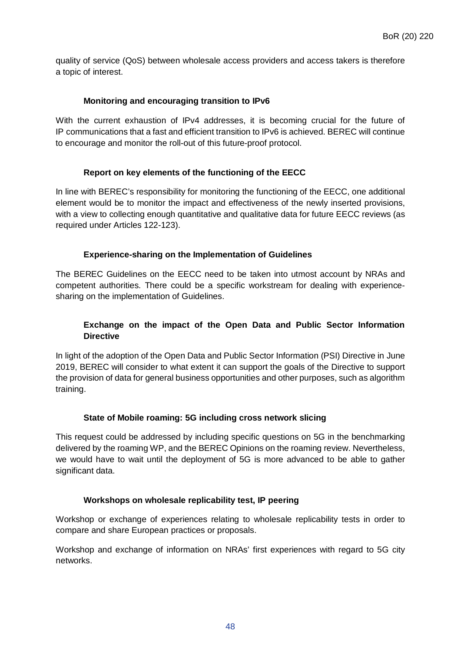quality of service (QoS) between wholesale access providers and access takers is therefore a topic of interest.

#### **Monitoring and encouraging transition to IPv6**

With the current exhaustion of IPv4 addresses, it is becoming crucial for the future of IP communications that a fast and efficient transition to IPv6 is achieved. BEREC will continue to encourage and monitor the roll-out of this future-proof protocol.

#### **Report on key elements of the functioning of the EECC**

In line with BEREC's responsibility for monitoring the functioning of the EECC, one additional element would be to monitor the impact and effectiveness of the newly inserted provisions, with a view to collecting enough quantitative and qualitative data for future EECC reviews (as required under Articles 122-123).

#### **Experience-sharing on the Implementation of Guidelines**

The BEREC Guidelines on the EECC need to be taken into utmost account by NRAs and competent authorities. There could be a specific workstream for dealing with experiencesharing on the implementation of Guidelines.

#### **Exchange on the impact of the Open Data and Public Sector Information Directive**

In light of the adoption of the Open Data and Public Sector Information (PSI) Directive in June 2019, BEREC will consider to what extent it can support the goals of the Directive to support the provision of data for general business opportunities and other purposes, such as algorithm training.

#### **State of Mobile roaming: 5G including cross network slicing**

This request could be addressed by including specific questions on 5G in the benchmarking delivered by the roaming WP, and the BEREC Opinions on the roaming review. Nevertheless, we would have to wait until the deployment of 5G is more advanced to be able to gather significant data.

#### **Workshops on wholesale replicability test, IP peering**

Workshop or exchange of experiences relating to wholesale replicability tests in order to compare and share European practices or proposals.

Workshop and exchange of information on NRAs' first experiences with regard to 5G city networks.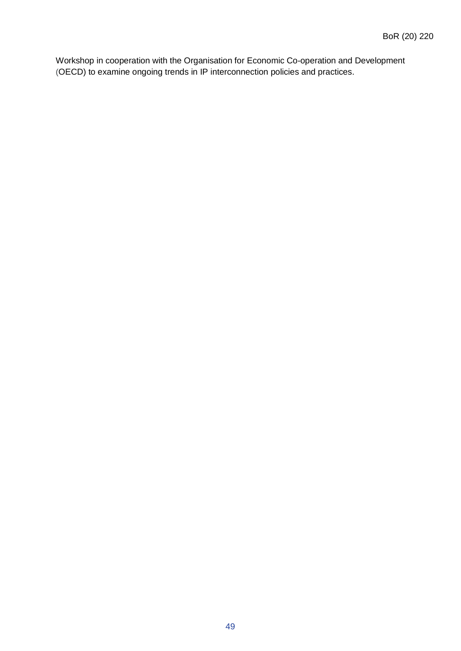Workshop in cooperation with the Organisation for Economic Co-operation and Development (OECD) to examine ongoing trends in IP interconnection policies and practices.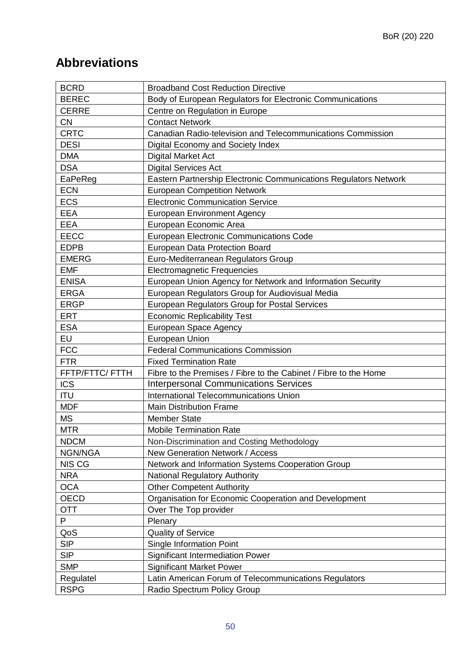# <span id="page-49-0"></span>**Abbreviations**

| <b>BCRD</b>     | <b>Broadband Cost Reduction Directive</b>                        |
|-----------------|------------------------------------------------------------------|
| <b>BEREC</b>    | Body of European Regulators for Electronic Communications        |
| <b>CERRE</b>    | Centre on Regulation in Europe                                   |
| <b>CN</b>       | <b>Contact Network</b>                                           |
| <b>CRTC</b>     | Canadian Radio-television and Telecommunications Commission      |
| <b>DESI</b>     | Digital Economy and Society Index                                |
| <b>DMA</b>      | <b>Digital Market Act</b>                                        |
| <b>DSA</b>      | <b>Digital Services Act</b>                                      |
| EaPeReg         | Eastern Partnership Electronic Communications Regulators Network |
| <b>ECN</b>      | <b>European Competition Network</b>                              |
| <b>ECS</b>      | <b>Electronic Communication Service</b>                          |
| <b>EEA</b>      | <b>European Environment Agency</b>                               |
| <b>EEA</b>      | European Economic Area                                           |
| <b>EECC</b>     | European Electronic Communications Code                          |
| <b>EDPB</b>     | European Data Protection Board                                   |
| <b>EMERG</b>    | Euro-Mediterranean Regulators Group                              |
| <b>EMF</b>      | <b>Electromagnetic Frequencies</b>                               |
| <b>ENISA</b>    | European Union Agency for Network and Information Security       |
| <b>ERGA</b>     | European Regulators Group for Audiovisual Media                  |
| <b>ERGP</b>     | European Regulators Group for Postal Services                    |
| <b>ERT</b>      | <b>Economic Replicability Test</b>                               |
| <b>ESA</b>      | European Space Agency                                            |
| EU              | <b>European Union</b>                                            |
| <b>FCC</b>      | <b>Federal Communications Commission</b>                         |
| <b>FTR</b>      | <b>Fixed Termination Rate</b>                                    |
| FFTP/FTTC/ FTTH | Fibre to the Premises / Fibre to the Cabinet / Fibre to the Home |
| <b>ICS</b>      | <b>Interpersonal Communications Services</b>                     |
| <b>ITU</b>      | International Telecommunications Union                           |
| <b>MDF</b>      | <b>Main Distribution Frame</b>                                   |
| <b>MS</b>       | <b>Member State</b>                                              |
| <b>MTR</b>      | <b>Mobile Termination Rate</b>                                   |
| <b>NDCM</b>     | Non-Discrimination and Costing Methodology                       |
| NGN/NGA         | New Generation Network / Access                                  |
| <b>NIS CG</b>   | Network and Information Systems Cooperation Group                |
| <b>NRA</b>      | <b>National Regulatory Authority</b>                             |
| <b>OCA</b>      | <b>Other Competent Authority</b>                                 |
| OECD            | Organisation for Economic Cooperation and Development            |
| <b>OTT</b>      | Over The Top provider                                            |
| P               | Plenary                                                          |
| QoS             | <b>Quality of Service</b>                                        |
| <b>SIP</b>      | Single Information Point                                         |
| <b>SIP</b>      | <b>Significant Intermediation Power</b>                          |
| <b>SMP</b>      | <b>Significant Market Power</b>                                  |
| Regulatel       | Latin American Forum of Telecommunications Regulators            |
| <b>RSPG</b>     | Radio Spectrum Policy Group                                      |